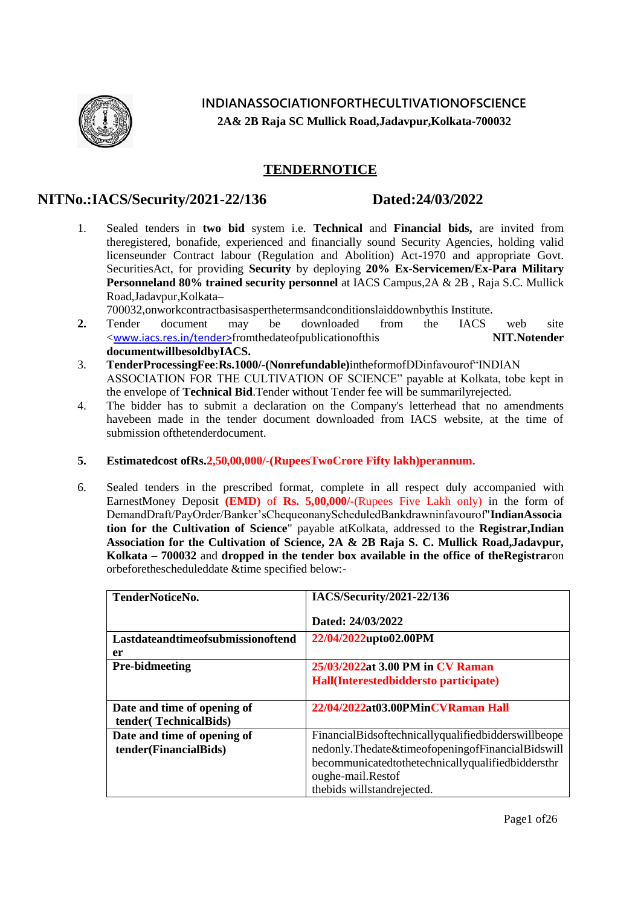

**INDIANASSOCIATIONFORTHECULTIVATIONOFSCIENCE 2A& 2B Raja SC Mullick Road,Jadavpur,Kolkata-700032**

#### **TENDERNOTICE**

#### **NITNo.:IACS/Security/2021-22/136 Dated:24/03/2022**

1. Sealed tenders in **two bid** system i.e. **Technical** and **Financial bids,** are invited from theregistered, bonafide, experienced and financially sound Security Agencies, holding valid licenseunder Contract labour (Regulation and Abolition) Act-1970 and appropriate Govt. SecuritiesAct, for providing **Security** by deploying **20% Ex-Servicemen/Ex-Para Military Personneland 80% trained security personnel** at IACS Campus,2A & 2B , Raja S.C. Mullick Road,Jadavpur,Kolkata–

700032,onworkcontractbasisasperthetermsandconditionslaiddownbythis Institute.

- **2.** Tender document may be downloaded from the IACS web site <[www.iacs.res.in/](http://www.iacs.res.in/)tender>fromthedateofpublicationofthis **NIT.Notender documentwillbesoldbyIACS.**
- 3. **TenderProcessingFee**:**Rs.1000/-(Nonrefundable)**intheformofDDinfavourof"INDIAN ASSOCIATION FOR THE CULTIVATION OF SCIENCE" payable at Kolkata, tobe kept in the envelope of **Technical Bid**.Tender without Tender fee will be summarilyrejected.
- 4. The bidder has to submit a declaration on the Company's letterhead that no amendments havebeen made in the tender document downloaded from IACS website, at the time of submission ofthetenderdocument.
- **5. Estimatedcost ofRs.2,50,00,000/-(RupeesTwoCrore Fifty lakh)perannum.**
- 6. Sealed tenders in the prescribed format, complete in all respect duly accompanied with EarnestMoney Deposit **(EMD)** of **Rs. 5,00,000/-**(Rupees Five Lakh only) in the form of DemandDraft/PayOrder/Banker"sChequeonanyScheduledBankdrawninfavourof"**IndianAssocia tion for the Cultivation of Science**" payable atKolkata, addressed to the **Registrar,Indian Association for the Cultivation of Science, 2A & 2B Raja S. C. Mullick Road,Jadavpur, Kolkata – 700032** and **dropped in the tender box available in the office of theRegistrar**on orbeforethescheduleddate &time specified below:-

| TenderNoticeNo.                   | IACS/Security/2021-22/136                           |
|-----------------------------------|-----------------------------------------------------|
|                                   |                                                     |
|                                   | Dated: 24/03/2022                                   |
|                                   |                                                     |
| Lastdateandtimeofsubmissionoftend | 22/04/2022upto02.00PM                               |
| er                                |                                                     |
| <b>Pre-bidmeeting</b>             | 25/03/2022at 3.00 PM in CV Raman                    |
|                                   | Hall(Interestedbiddersto participate)               |
|                                   |                                                     |
|                                   |                                                     |
| Date and time of opening of       | 22/04/2022at03.00PMinCVRaman Hall                   |
| tender(TechnicalBids)             |                                                     |
| Date and time of opening of       | FinancialBidsoftechnicallyqualifiedbidderswillbeope |
| tender(FinancialBids)             | nedonly.Thedate&timeofopeningofFinancialBidswill    |
|                                   | becommunicatedtothetechnicallyqualifiedbiddersthr   |
|                                   | oughe-mail.Restof                                   |
|                                   | the bids will stand rejected.                       |
|                                   |                                                     |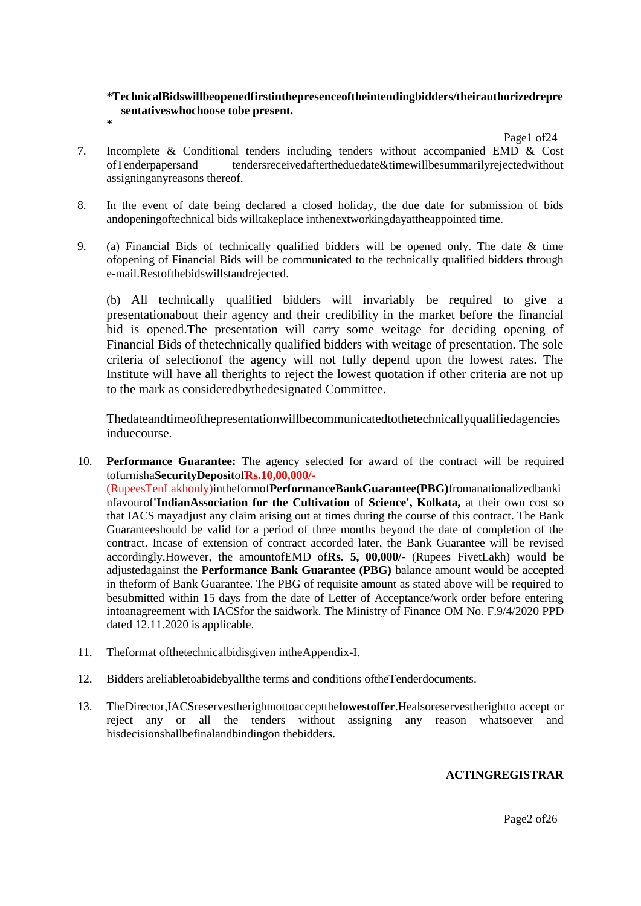#### **\*TechnicalBidswillbeopenedfirstinthepresenceoftheintendingbidders/theirauthorizedrepre sentativeswhochoose tobe present. \***

Page1 of 24

- 7. Incomplete & Conditional tenders including tenders without accompanied EMD & Cost of Tenders personal tenders received after the due date & time will be summarily rejected without tendersreceivedaftertheduedate&timewillbesummarilyrejectedwithout assigninganyreasons thereof.
- 8. In the event of date being declared a closed holiday, the due date for submission of bids andopeningoftechnical bids willtakeplace inthenextworkingdayattheappointed time.
- 9. (a) Financial Bids of technically qualified bidders will be opened only. The date & time ofopening of Financial Bids will be communicated to the technically qualified bidders through e-mail.Restofthebidswillstandrejected.

(b) All technically qualified bidders will invariably be required to give a presentationabout their agency and their credibility in the market before the financial bid is opened.The presentation will carry some weitage for deciding opening of Financial Bids of thetechnically qualified bidders with weitage of presentation. The sole criteria of selectionof the agency will not fully depend upon the lowest rates. The Institute will have all therights to reject the lowest quotation if other criteria are not up to the mark as consideredbythedesignated Committee.

Thedateandtimeofthepresentationwillbecommunicatedtothetechnicallyqualifiedagencies induecourse.

10. **Performance Guarantee:** The agency selected for award of the contract will be required tofurnisha**SecurityDeposit**of**Rs.10,00,000/-**

(RupeesTenLakhonly)intheformof**PerformanceBankGuarantee(PBG)**fromanationalizedbanki nfavourof**'IndianAssociation for the Cultivation of Science', Kolkata,** at their own cost so that IACS mayadjust any claim arising out at times during the course of this contract. The Bank Guaranteeshould be valid for a period of three months beyond the date of completion of the contract. Incase of extension of contract accorded later, the Bank Guarantee will be revised accordingly.However, the amountofEMD of**Rs. 5, 00,000/-** (Rupees FivetLakh) would be adjustedagainst the **Performance Bank Guarantee (PBG)** balance amount would be accepted in theform of Bank Guarantee. The PBG of requisite amount as stated above will be required to besubmitted within 15 days from the date of Letter of Acceptance/work order before entering intoanagreement with IACSfor the saidwork. The Ministry of Finance OM No. F.9/4/2020 PPD dated 12.11.2020 is applicable.

- 11. Theformat ofthetechnicalbidisgiven intheAppendix-I.
- 12. Bidders areliabletoabidebyallthe terms and conditions oftheTenderdocuments.
- 13. TheDirector,IACSreservestherightnottoacceptthe**lowestoffer**.Healsoreservestherightto accept or reject any or all the tenders without assigning any reason whatsoever and hisdecisionshallbefinalandbindingon thebidders.

#### **ACTINGREGISTRAR**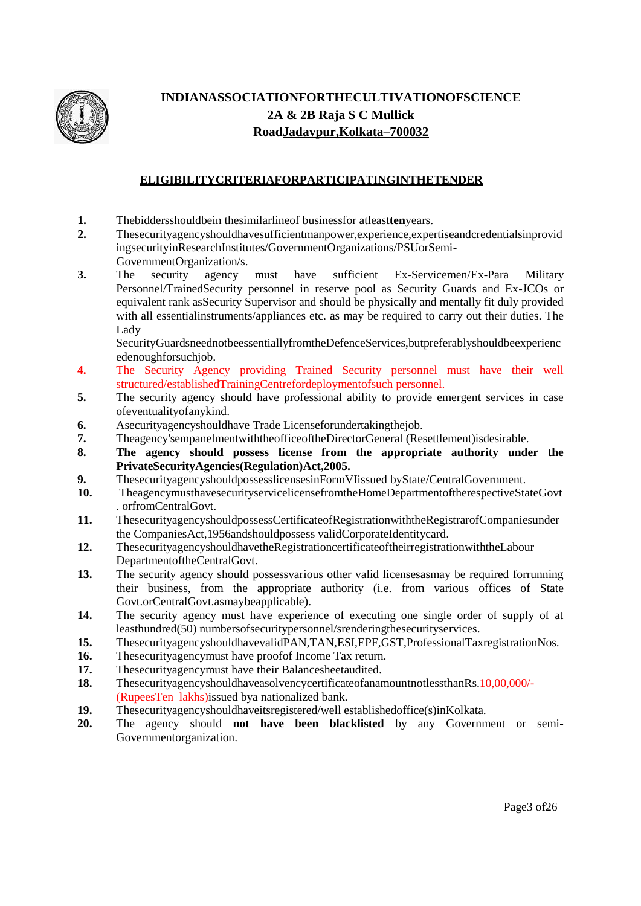

## **INDIANASSOCIATIONFORTHECULTIVATIONOFSCIENCE 2A & 2B Raja S C Mullick RoadJadavpur,Kolkata–700032**

#### **ELIGIBILITYCRITERIAFORPARTICIPATINGINTHETENDER**

- **1.** The bidders should be in the similar line of business for at least **ten**years.<br>**2.** These curity agency should have sufficient mannower experience exper
- **2.** Thesecurityagencyshouldhavesufficientmanpower,experience,expertiseandcredentialsinprovid ingsecurityinResearchInstitutes/GovernmentOrganizations/PSUorSemi-GovernmentOrganization/s.
- **3.** The security agency must have sufficient Ex-Servicemen/Ex-Para Military Personnel/TrainedSecurity personnel in reserve pool as Security Guards and Ex-JCOs or equivalent rank asSecurity Supervisor and should be physically and mentally fit duly provided with all essentialinstruments/appliances etc. as may be required to carry out their duties. The Lady

SecurityGuardsneednotbeessentiallyfromtheDefenceServices,butpreferablyshouldbeexperienc edenoughforsuchjob.

- **4.** The Security Agency providing Trained Security personnel must have their well structured/establishedTrainingCentrefordeploymentofsuch personnel.
- **5.** The security agency should have professional ability to provide emergent services in case ofeventualityofanykind.
- **6.** Asecurityagencyshouldhave Trade Licenseforundertakingthejob.
- **7.** Theagency'sempanelmentwiththeofficeoftheDirectorGeneral (Resettlement)isdesirable.
- **8. The agency should possess license from the appropriate authority under the PrivateSecurityAgencies(Regulation)Act,2005.**
- **9.** ThesecurityagencyshouldpossesslicensesinFormVIissued byState/CentralGovernment.
- **10.** TheagencymusthavesecurityservicelicensefromtheHomeDepartmentoftherespectiveStateGovt . orfromCentralGovt.
- **11.** ThesecurityagencyshouldpossessCertificateofRegistrationwiththeRegistrarofCompaniesunder the CompaniesAct,1956andshouldpossess validCorporateIdentitycard.
- **12.** ThesecurityagencyshouldhavetheRegistrationcertificateoftheirregistrationwiththeLabour DepartmentoftheCentralGovt.
- **13.** The security agency should possessvarious other valid licensesasmay be required forrunning their business, from the appropriate authority (i.e. from various offices of State Govt.orCentralGovt.asmaybeapplicable).
- **14.** The security agency must have experience of executing one single order of supply of at leasthundred(50) numbersofsecuritypersonnel/srenderingthesecurityservices.
- **15.** ThesecurityagencyshouldhavevalidPAN,TAN,ESI,EPF,GST,ProfessionalTaxregistrationNos.
- **16.** Thesecurityagencymust have proof of Income Tax return.<br>**17.** Thesecurityagencymust have their Balancesheetaudited.
- **17.** Thesecurityagencymust have their Balancesheetaudited.
- **18.** ThesecurityagencyshouldhaveasolvencycertificateofanamountnotlessthanRs.10,00,000/- (RupeesTen lakhs)issued bya nationalized bank.
- **19.** Thesecurityagencyshouldhaveitsregistered/well establishedoffice(s)inKolkata.
- **20.** The agency should **not have been blacklisted** by any Government or semi-Governmentorganization.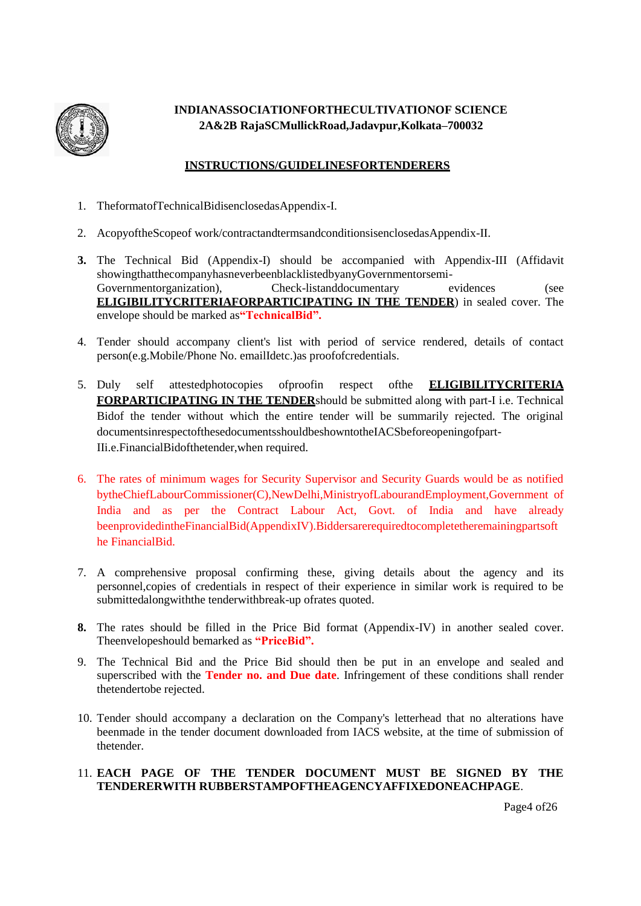

#### **INDIANASSOCIATIONFORTHECULTIVATIONOF SCIENCE 2A&2B RajaSCMullickRoad,Jadavpur,Kolkata–700032**

#### **INSTRUCTIONS/GUIDELINESFORTENDERERS**

- 1. TheformatofTechnicalBidisenclosedasAppendix-I.
- 2. AcopyoftheScopeof work/contractandtermsandconditionsisenclosedasAppendix-II.
- **3.** The Technical Bid (Appendix-I) should be accompanied with Appendix-III (Affidavit showingthatthecompanyhasneverbeenblacklistedbyanyGovernmentorsemi-Governmentorganization), Check-listanddocumentary evidences (see **ELIGIBILITYCRITERIAFORPARTICIPATING IN THE TENDER**) in sealed cover. The envelope should be marked as**"TechnicalBid".**
- 4. Tender should accompany client's list with period of service rendered, details of contact person(e.g.Mobile/Phone No. emailIdetc.)as proofofcredentials.
- 5. Duly self attestedphotocopies ofproofin respect ofthe **ELIGIBILITYCRITERIA FORPARTICIPATING IN THE TENDER**should be submitted along with part-I i.e. Technical Bidof the tender without which the entire tender will be summarily rejected. The original documentsinrespectofthesedocumentsshouldbeshowntotheIACSbeforeopeningofpart-IIi.e.FinancialBidofthetender,when required.
- 6. The rates of minimum wages for Security Supervisor and Security Guards would be as notified bytheChiefLabourCommissioner(C),NewDelhi,MinistryofLabourandEmployment,Government of India and as per the Contract Labour Act, Govt. of India and have already beenprovidedintheFinancialBid(AppendixIV).Biddersarerequiredtocompletetheremainingpartsoft he FinancialBid.
- 7. A comprehensive proposal confirming these, giving details about the agency and its personnel,copies of credentials in respect of their experience in similar work is required to be submittedalongwiththe tenderwithbreak-up ofrates quoted.
- **8.** The rates should be filled in the Price Bid format (Appendix-IV) in another sealed cover. Theenvelopeshould bemarked as **"PriceBid".**
- 9. The Technical Bid and the Price Bid should then be put in an envelope and sealed and superscribed with the **Tender no. and Due date**. Infringement of these conditions shall render thetendertobe rejected.
- 10. Tender should accompany a declaration on the Company's letterhead that no alterations have beenmade in the tender document downloaded from IACS website, at the time of submission of thetender.

#### 11. **EACH PAGE OF THE TENDER DOCUMENT MUST BE SIGNED BY THE TENDERERWITH RUBBERSTAMPOFTHEAGENCYAFFIXEDONEACHPAGE**.

Page4 of 26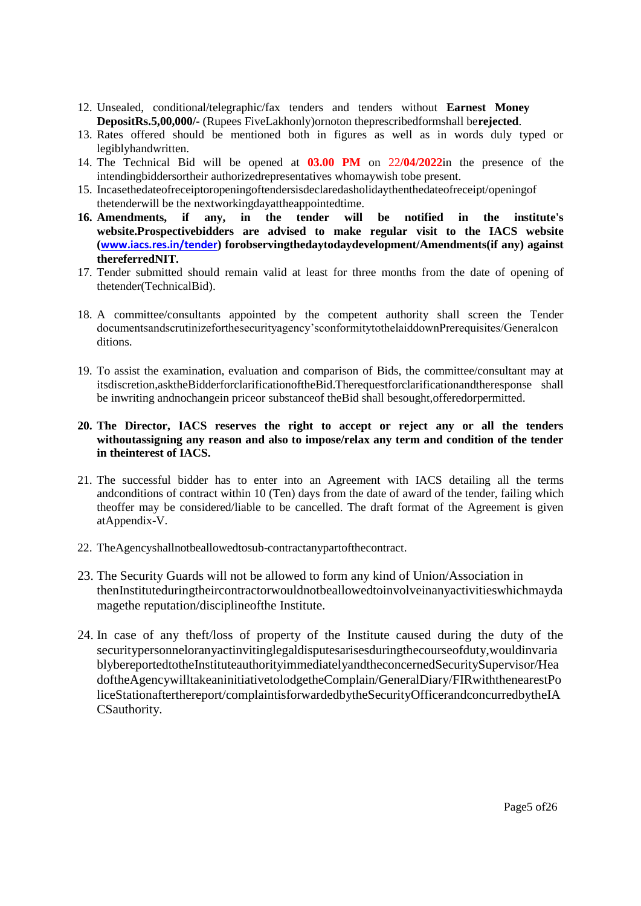- 12. Unsealed, conditional/telegraphic/fax tenders and tenders without **Earnest Money DepositRs.5,00,000/-** (Rupees FiveLakhonly)ornoton theprescribedformshall be**rejected**.
- 13. Rates offered should be mentioned both in figures as well as in words duly typed or legiblyhandwritten.
- 14. The Technical Bid will be opened at **03.00 PM** on 22**/04/2022**in the presence of the intendingbiddersortheir authorizedrepresentatives whomaywish tobe present.
- 15. Incasethedateofreceiptoropeningoftendersisdeclaredasholidaythenthedateofreceipt/openingof thetenderwill be the nextworkingdayattheappointedtime.<br>16. Amendments, if any, in the tender will
- **16. Amendments, if any, in the tender will be notified in the institute's website.Prospectivebidders are advised to make regular visit to the IACS website ([www.iacs.res.in/tender](http://www.iacs.res.in/tender)) forobservingthedaytodaydevelopment/Amendments(if any) against thereferredNIT.**
- 17. Tender submitted should remain valid at least for three months from the date of opening of thetender(TechnicalBid).
- 18. A committee/consultants appointed by the competent authority shall screen the Tender documentsandscrutinizeforthesecurityagency"sconformitytothelaiddownPrerequisites/Generalcon ditions.
- 19. To assist the examination, evaluation and comparison of Bids, the committee/consultant may at itsdiscretion,asktheBidderforclarificationoftheBid.Therequestforclarificationandtheresponse shall be inwriting andnochangein priceor substanceof theBid shall besought,offeredorpermitted.

#### **20. The Director, IACS reserves the right to accept or reject any or all the tenders withoutassigning any reason and also to impose/relax any term and condition of the tender in theinterest of IACS.**

- 21. The successful bidder has to enter into an Agreement with IACS detailing all the terms andconditions of contract within 10 (Ten) days from the date of award of the tender, failing which theoffer may be considered/liable to be cancelled. The draft format of the Agreement is given atAppendix-V.
- 22. TheAgencyshallnotbeallowedtosub-contractanypartofthecontract.
- 23. The Security Guards will not be allowed to form any kind of Union/Association in thenInstituteduringtheircontractorwouldnotbeallowedtoinvolveinanyactivitieswhichmayda magethe reputation/disciplineofthe Institute.
- 24. In case of any theft/loss of property of the Institute caused during the duty of the securitypersonneloranyactinvitinglegaldisputesarisesduringthecourseofduty,wouldinvaria blybereportedtotheInstituteauthorityimmediatelyandtheconcernedSecuritySupervisor/Hea doftheAgencywilltakeaninitiativetolodgetheComplain/GeneralDiary/FIRwiththenearestPo liceStationafterthereport/complaintisforwardedbytheSecurityOfficerandconcurredbytheIA CSauthority.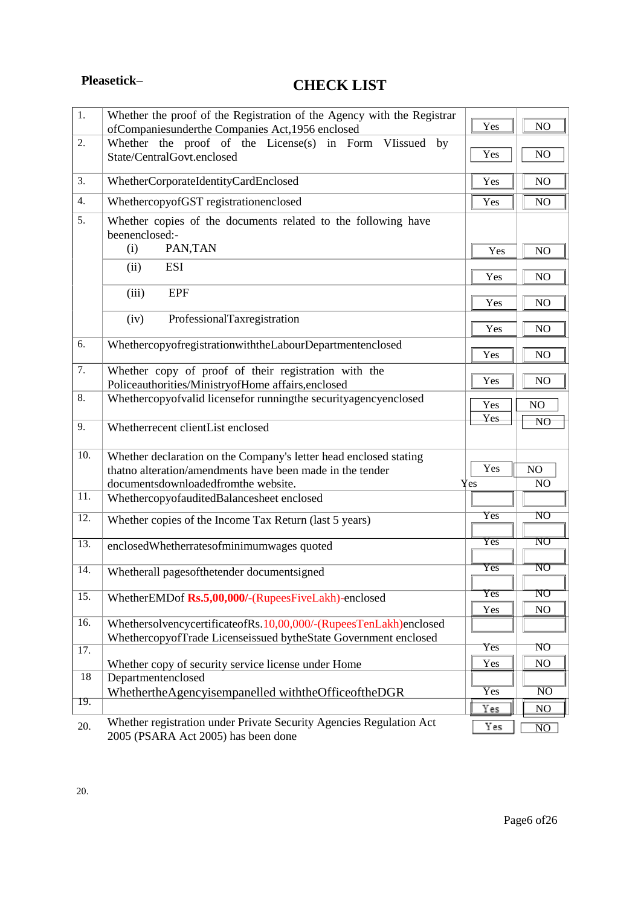# **Pleasetick– CHECK LIST**

| $\overline{1}$ .  | Whether the proof of the Registration of the Agency with the Registrar                                     | Yes<br>NO                                           |
|-------------------|------------------------------------------------------------------------------------------------------------|-----------------------------------------------------|
| 2.                | ofCompaniesunderthe Companies Act, 1956 enclosed                                                           |                                                     |
|                   | Whether the proof of the License(s) in Form VIissued by<br>State/CentralGovt.enclosed                      | Yes<br>NO                                           |
| 3.                | WhetherCorporateIdentityCardEnclosed                                                                       | Yes<br>NO                                           |
| 4.                | WhethercopyofGST registrationenclosed                                                                      | Yes<br>NO                                           |
| 5.                | Whether copies of the documents related to the following have<br>beenenclosed:-                            |                                                     |
|                   | PAN, TAN<br>(i)                                                                                            | Yes<br>NO                                           |
|                   | <b>ESI</b><br>(ii)                                                                                         | Yes<br>NO                                           |
|                   | <b>EPF</b><br>(iii)                                                                                        | Yes<br>NO                                           |
|                   | (iv)<br>ProfessionalTaxregistration                                                                        | Yes<br>NO                                           |
| 6.                | WhethercopyofregistrationwiththeLabourDepartmentenclosed                                                   | Yes<br>NO                                           |
| 7.                | Whether copy of proof of their registration with the<br>Policeauthorities/MinistryofHome affairs, enclosed | Yes<br>NO                                           |
| 8.                | Whethercopyofvalid licensefor runningthe securityagencyenclosed                                            | Yes<br>NO                                           |
| 9.                | Whetherrecent clientList enclosed                                                                          | Yes<br>N <sub>O</sub>                               |
| 10.               | Whether declaration on the Company's letter head enclosed stating                                          |                                                     |
|                   | thatno alteration/amendments have been made in the tender                                                  | Yes<br>NO                                           |
|                   | documentsdownloadedfromthe website.                                                                        | Yes<br>NO                                           |
| 11.               | WhethercopyofauditedBalancesheet enclosed                                                                  |                                                     |
| 12.               | Whether copies of the Income Tax Return (last 5 years)                                                     | NO<br>Yes                                           |
| 13.               | enclosedWhetherratesofminimumwages quoted                                                                  | $\overline{\text{NO}}$<br>$\overline{\mathrm{Yes}}$ |
| 14.               | Whetherall pages of the tender documentsigned                                                              | $\overline{\text{NO}}$<br>$\overline{\mathrm{Yes}}$ |
| $\overline{15}$ . | WhetherEMDof Rs.5,00,000/-(RupeesFiveLakh)-enclosed                                                        | $\overline{\mathrm{NO}}$<br>Yes<br>NO<br>Yes        |
| 16.               | WhethersolvencycertificateofRs.10,00,000/-(RupeesTenLakh)enclosed                                          |                                                     |
| $\overline{17}$ . | WhethercopyofTrade Licenseissued bytheState Government enclosed                                            | Yes<br>NO                                           |
|                   | Whether copy of security service license under Home                                                        | Yes<br>NO                                           |
| 18                | Departmentenclosed                                                                                         |                                                     |
| 19.               | WhethertheAgencyisempanelled withtheOfficeoftheDGR                                                         | $\overline{\mathrm{Yes}}$<br>$\overline{\text{NO}}$ |
|                   |                                                                                                            | Yes<br>NO                                           |
| 20.               | Whether registration under Private Security Agencies Regulation Act<br>2005 (PSARA Act 2005) has been done | Yes<br>$\overline{NO}$                              |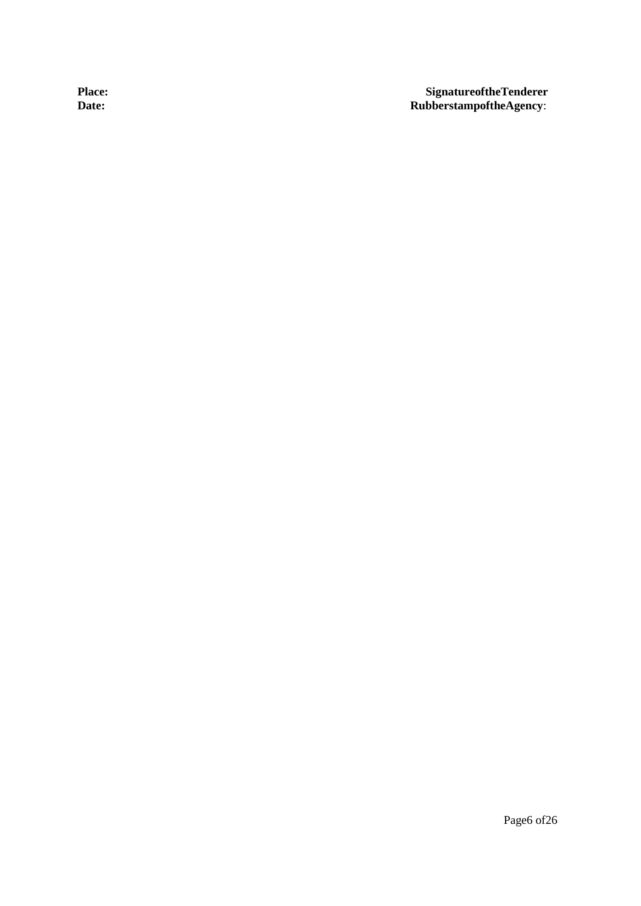Place: SignatureoftheTenderer<br>
Date: **Signature SignatureoftheTenderer**<br>
RubberstampoftheAgency:  $\overrightarrow{\text{Rubberstampof} the Agency:}$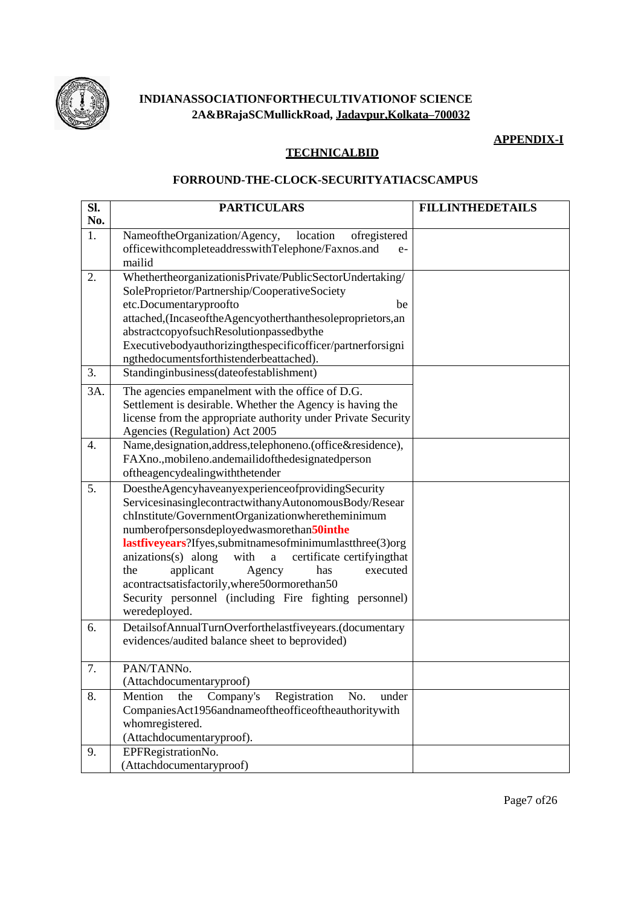

#### INDIANASSOCIATIONFORTHECULTIVATIONOF SCIENCE 2A&BRajaSCMullickRoad, Jadavpur.Kolkata-700032

#### **APPENDIX-I**

#### **TECHNICALBID**

#### FORROUND-THE-CLOCK-SECURITYATIACSCAMPUS

| SI.<br>No. | <b>PARTICULARS</b>                                                                                                                                                                                                                                                                                                                                                                                                                                                                                                     | <b>FILLINTHEDETAILS</b> |  |
|------------|------------------------------------------------------------------------------------------------------------------------------------------------------------------------------------------------------------------------------------------------------------------------------------------------------------------------------------------------------------------------------------------------------------------------------------------------------------------------------------------------------------------------|-------------------------|--|
| 1.         | NameoftheOrganization/Agency,<br>location<br>ofregistered<br>officewithcompleteaddresswithTelephone/Faxnos.and<br>$e-$<br>mailid                                                                                                                                                                                                                                                                                                                                                                                       |                         |  |
| 2.         | WhethertheorganizationisPrivate/PublicSectorUndertaking/<br>SoleProprietor/Partnership/CooperativeSociety<br>etc.Documentaryproofto<br>be<br>attached, (Incaseofthe Agencyotherthanthesole proprietors, an<br>abstractcopyofsuchResolutionpassedbythe<br>Executivebodyauthorizingthespecificofficer/partnerforsigni<br>ngthedocumentsforthistenderbeattached).                                                                                                                                                         |                         |  |
| 3.         | Standinginbusiness(dateofestablishment)                                                                                                                                                                                                                                                                                                                                                                                                                                                                                |                         |  |
| 3A.        | The agencies empanelment with the office of D.G.<br>Settlement is desirable. Whether the Agency is having the<br>license from the appropriate authority under Private Security<br>Agencies (Regulation) Act 2005                                                                                                                                                                                                                                                                                                       |                         |  |
| 4.         | Name, designation, address, telephoneno. (office&residence),<br>FAXno., mobileno.andemailidofthedesignatedperson<br>oftheagencydealingwiththetender                                                                                                                                                                                                                                                                                                                                                                    |                         |  |
| 5.         | DoestheAgencyhaveanyexperienceofprovidingSecurity<br>ServicesinasinglecontractwithanyAutonomousBody/Resear<br>chInstitute/GovernmentOrganizationwheretheminimum<br>numberofpersonsdeployedwasmorethan50inthe<br>lastfiveyears?Ifyes,submitnamesofminimumlastthree(3)org<br>anizations(s) along<br>with<br>certificate certifyingthat<br>a<br>applicant<br>the<br>Agency<br>executed<br>has<br>acontractsatisfactorily, where 50ormorethan50<br>Security personnel (including Fire fighting personnel)<br>weredeployed. |                         |  |
| 6.         | DetailsofAnnualTurnOverforthelastfiveyears.(documentary<br>evidences/audited balance sheet to beprovided)                                                                                                                                                                                                                                                                                                                                                                                                              |                         |  |
| 7.         | PAN/TANNo.<br>(Attachdocumentaryproof)                                                                                                                                                                                                                                                                                                                                                                                                                                                                                 |                         |  |
| 8.         | Company's<br>Registration<br>Mention<br>No.<br>under<br>the<br>CompaniesAct1956andnameoftheofficeoftheauthoritywith<br>whomregistered.<br>(Attachdocumentaryproof).                                                                                                                                                                                                                                                                                                                                                    |                         |  |
| 9.         | EPFRegistrationNo.<br>(Attachdocumentaryproof)                                                                                                                                                                                                                                                                                                                                                                                                                                                                         |                         |  |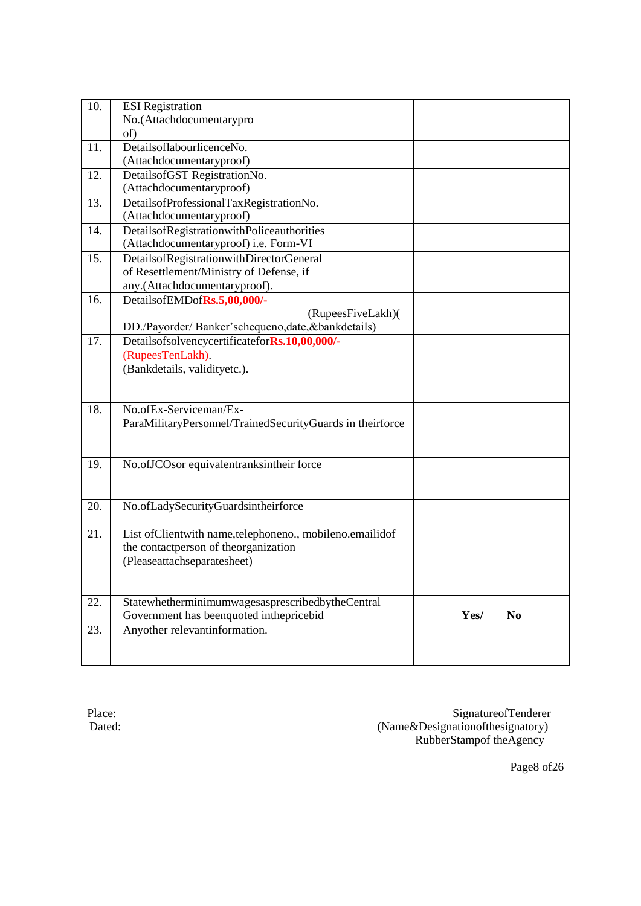| 10. | <b>ESI</b> Registration                                   |      |                |
|-----|-----------------------------------------------------------|------|----------------|
|     | No.(Attachdocumentarypro                                  |      |                |
|     | of)                                                       |      |                |
| 11. | DetailsoflabourlicenceNo.                                 |      |                |
|     | (Attachdocumentaryproof)                                  |      |                |
| 12. | DetailsofGST RegistrationNo.                              |      |                |
|     | (Attachdocumentaryproof)                                  |      |                |
| 13. | DetailsofProfessionalTaxRegistrationNo.                   |      |                |
|     | (Attachdocumentaryproof)                                  |      |                |
| 14. | DetailsofRegistrationwithPoliceauthorities                |      |                |
|     | (Attachdocumentaryproof) i.e. Form-VI                     |      |                |
| 15. | DetailsofRegistrationwithDirectorGeneral                  |      |                |
|     | of Resettlement/Ministry of Defense, if                   |      |                |
|     | any.(Attachdocumentaryproof).                             |      |                |
| 16. | DetailsofEMDofRs.5,00,000/-                               |      |                |
|     | (RupeesFiveLakh)(                                         |      |                |
|     | DD./Payorder/ Banker'schequeno,date,&bankdetails)         |      |                |
| 17. | DetailsofsolvencycertificateforRs.10,00,000/-             |      |                |
|     | (RupeesTenLakh).                                          |      |                |
|     | (Bankdetails, validityetc.).                              |      |                |
|     |                                                           |      |                |
|     |                                                           |      |                |
| 18. | No.ofEx-Serviceman/Ex-                                    |      |                |
|     | ParaMilitaryPersonnel/TrainedSecurityGuards in theirforce |      |                |
|     |                                                           |      |                |
|     |                                                           |      |                |
| 19. | No.ofJCOsor equivalentranksintheir force                  |      |                |
|     |                                                           |      |                |
|     |                                                           |      |                |
| 20. | No.ofLadySecurityGuardsintheirforce                       |      |                |
|     |                                                           |      |                |
| 21. | List ofClientwith name,telephoneno., mobileno.emailidof   |      |                |
|     | the contactperson of theorganization                      |      |                |
|     | (Pleaseattachseparatesheet)                               |      |                |
|     |                                                           |      |                |
|     |                                                           |      |                |
| 22. | StatewhetherminimumwagesasprescribedbytheCentral          |      |                |
|     | Government has beenquoted inthepricebid                   | Yes/ | N <sub>0</sub> |
| 23. | Anyother relevantinformation.                             |      |                |
|     |                                                           |      |                |
|     |                                                           |      |                |

Place: SignatureofTenderer Dated: (Name&Designationofthesignatory) RubberStampof theAgency

Page8 of26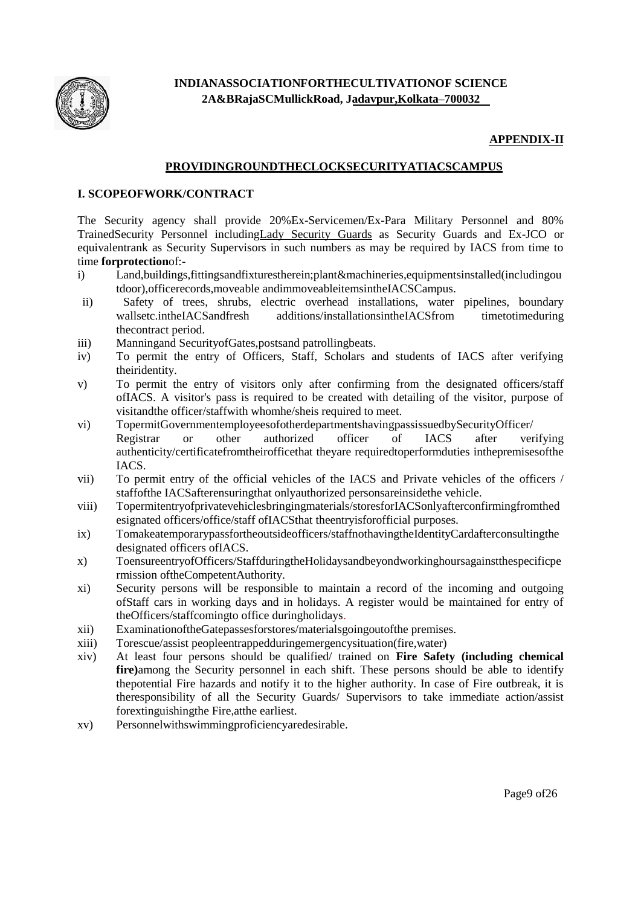

#### **APPENDIX-II**

#### **PROVIDINGROUNDTHECLOCKSECURITYATIACSCAMPUS**

#### **I. SCOPEOFWORK/CONTRACT**

The Security agency shall provide 20%Ex-Servicemen/Ex-Para Military Personnel and 80% TrainedSecurity Personnel includingLady Security Guards as Security Guards and Ex-JCO or equivalentrank as Security Supervisors in such numbers as may be required by IACS from time to time **forprotection**of:-

- i) Land,buildings,fittingsandfixturestherein;plant&machineries,equipmentsinstalled(includingou tdoor),officerecords,moveable andimmoveableitemsintheIACSCampus.
- ii) Safety of trees, shrubs, electric overhead installations, water pipelines, boundary wallsetc.intheIACSandfresh additions/installationsintheIACSfrom timetotimeduring additions/installationsintheIACSfrom timetotimeduring thecontract period.
- iii) Manningand SecurityofGates,postsand patrollingbeats.
- iv) To permit the entry of Officers, Staff, Scholars and students of IACS after verifying theiridentity.
- v) To permit the entry of visitors only after confirming from the designated officers/staff ofIACS. A visitor's pass is required to be created with detailing of the visitor, purpose of visitandthe officer/staffwith whomhe/sheis required to meet.
- vi) TopermitGovernmentemployeesofotherdepartmentshavingpassissuedbySecurityOfficer/ Registrar or other authorized officer of IACS after verifying authenticity/certificatefromtheirofficethat theyare requiredtoperformduties inthepremisesofthe IACS.
- vii) To permit entry of the official vehicles of the IACS and Private vehicles of the officers / staffofthe IACSafterensuringthat onlyauthorized personsareinsidethe vehicle.
- viii) Topermitentryofprivatevehiclesbringingmaterials/storesforIACSonlyafterconfirmingfromthed esignated officers/office/staff ofIACSthat theentryisforofficial purposes.
- ix) Tomakeatemporarypassfortheoutsideofficers/staffnothavingtheIdentityCardafterconsultingthe designated officers ofIACS.
- x) ToensureentryofOfficers/StaffduringtheHolidaysandbeyondworkinghoursagainstthespecificpe rmission oftheCompetentAuthority.
- xi) Security persons will be responsible to maintain a record of the incoming and outgoing ofStaff cars in working days and in holidays. A register would be maintained for entry of theOfficers/staffcomingto office duringholidays.
- xii) ExaminationoftheGatepassesforstores/materialsgoingoutofthe premises.
- xiii) Torescue/assist peopleentrappedduringemergencysituation(fire,water)
- xiv) At least four persons should be qualified/ trained on **Fire Safety (including chemical fire)**among the Security personnel in each shift. These persons should be able to identify thepotential Fire hazards and notify it to the higher authority. In case of Fire outbreak, it is theresponsibility of all the Security Guards/ Supervisors to take immediate action/assist forextinguishingthe Fire,atthe earliest.
- xv) Personnelwithswimmingproficiencyaredesirable.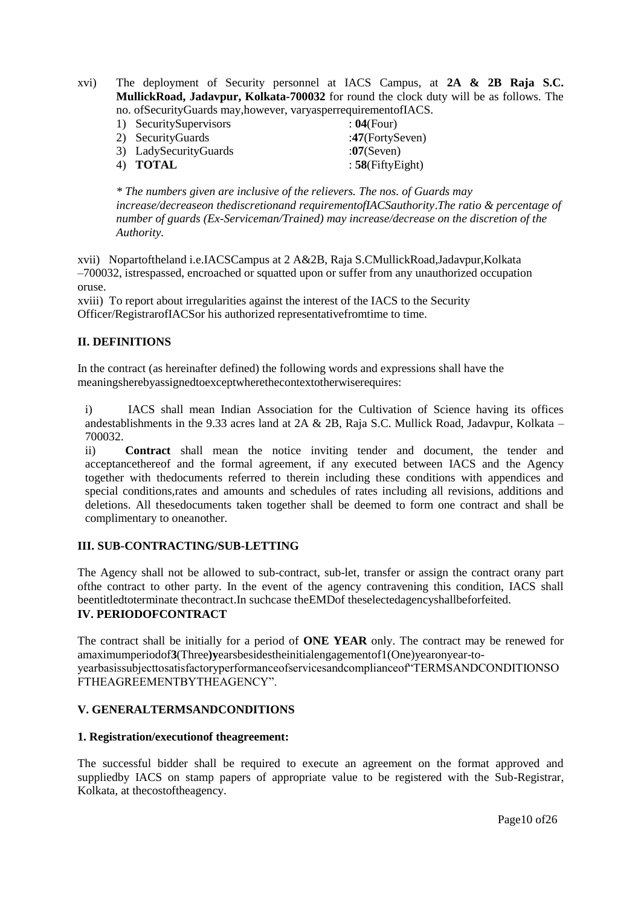xvi) The deployment of Security personnel at IACS Campus, at **2A & 2B Raja S.C. MullickRoad, Jadavpur, Kolkata-700032** for round the clock duty will be as follows. The no. ofSecurityGuards may,however, varyasperrequirementofIACS.

- 1) SecuritySupervisors : **04**(Four)<br>
2) SecurityGuards : **17**(FortySeven)
- 2) SecurityGuards 3) LadySecurityGuards :07(Seven)<br>4) **TOTAL** : 58(FiftyEi  $: 58$ (FiftyEight)

*\* The numbers given are inclusive of the relievers. The nos. of Guards may increase/decreaseon thediscretionand requirementofIACSauthority*.*The ratio & percentage of number of guards (Ex-Serviceman/Trained) may increase/decrease on the discretion of the Authority.*

xvii) Nopartoftheland i.e.IACSCampus at 2 A&2B, Raja S.CMullickRoad,Jadavpur,Kolkata –700032, istrespassed, encroached or squatted upon or suffer from any unauthorized occupation oruse.

xviii) To report about irregularities against the interest of the IACS to the Security Officer/RegistrarofIACSor his authorized representativefromtime to time.

#### **II. DEFINITIONS**

In the contract (as hereinafter defined) the following words and expressions shall have the meaningsherebyassignedtoexceptwherethecontextotherwiserequires:

i) IACS shall mean Indian Association for the Cultivation of Science having its offices andestablishments in the 9.33 acres land at  $2A \& 2B$ , Raja S.C. Mullick Road, Jadavpur, Kolkata – 700032.

ii) **Contract** shall mean the notice inviting tender and document, the tender and acceptancethereof and the formal agreement, if any executed between IACS and the Agency together with thedocuments referred to therein including these conditions with appendices and special conditions,rates and amounts and schedules of rates including all revisions, additions and deletions. All thesedocuments taken together shall be deemed to form one contract and shall be complimentary to oneanother.

#### **III. SUB-CONTRACTING/SUB-LETTING**

The Agency shall not be allowed to sub-contract, sub-let, transfer or assign the contract orany part ofthe contract to other party. In the event of the agency contravening this condition, IACS shall beentitledtoterminate thecontract.In suchcase theEMDof theselectedagencyshallbeforfeited. **IV. PERIODOFCONTRACT**

The contract shall be initially for a period of **ONE YEAR** only. The contract may be renewed for amaximumperiodof**3**(Three**)y**earsbesidestheinitialengagementof1(One)yearonyear-toyearbasissubjecttosatisfactoryperformanceofservicesandcomplianceof"TERMSANDCONDITIONSO FTHEAGREEMENTBYTHEAGENCY".

#### **V. GENERALTERMSANDCONDITIONS**

#### **1. Registration/executionof theagreement:**

The successful bidder shall be required to execute an agreement on the format approved and suppliedby IACS on stamp papers of appropriate value to be registered with the Sub-Registrar, Kolkata, at thecostoftheagency.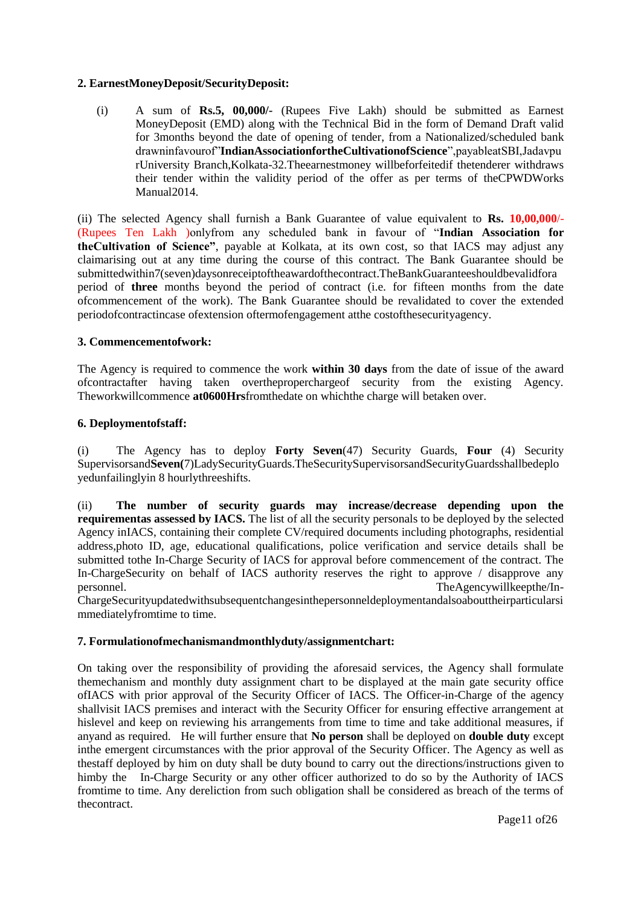#### **2. EarnestMoneyDeposit/SecurityDeposit:**

(i) A sum of **Rs.5, 00,000/-** (Rupees Five Lakh) should be submitted as Earnest MoneyDeposit (EMD) along with the Technical Bid in the form of Demand Draft valid for 3months beyond the date of opening of tender, from a Nationalized/scheduled bank drawninfavourof"**IndianAssociationfortheCultivationofScience**",payableatSBI,Jadavpu rUniversity Branch,Kolkata-32.Theearnestmoney willbeforfeitedif thetenderer withdraws their tender within the validity period of the offer as per terms of theCPWDWorks Manual2014.

(ii) The selected Agency shall furnish a Bank Guarantee of value equivalent to **Rs. 10,00,000**/- (Rupees Ten Lakh )onlyfrom any scheduled bank in favour of "**Indian Association for theCultivation of Science"**, payable at Kolkata, at its own cost, so that IACS may adjust any claimarising out at any time during the course of this contract. The Bank Guarantee should be submittedwithin7(seven)daysonreceiptoftheawardofthecontract.TheBankGuaranteeshouldbevalidfora period of **three** months beyond the period of contract (i.e. for fifteen months from the date ofcommencement of the work). The Bank Guarantee should be revalidated to cover the extended periodofcontractincase ofextension oftermofengagement atthe costofthesecurityagency.

#### **3. Commencementofwork:**

The Agency is required to commence the work **within 30 days** from the date of issue of the award ofcontractafter having taken overtheproperchargeof security from the existing Agency. Theworkwillcommence **at0600Hrs**fromthedate on whichthe charge will betaken over.

#### **6. Deploymentofstaff:**

(i) The Agency has to deploy **Forty Seven**(47) Security Guards, **Four** (4) Security Supervisorsand**Seven(**7)LadySecurityGuards.TheSecuritySupervisorsandSecurityGuardsshallbedeplo yedunfailinglyin 8 hourlythreeshifts.

(ii) **The number of security guards may increase/decrease depending upon the requirementas assessed by IACS.** The list of all the security personals to be deployed by the selected Agency inIACS, containing their complete CV/required documents including photographs, residential address,photo ID, age, educational qualifications, police verification and service details shall be submitted tothe In-Charge Security of IACS for approval before commencement of the contract. The In-ChargeSecurity on behalf of IACS authority reserves the right to approve / disapprove any personnel.<br>TheAgencywillkeepthe/In-TheAgencywillkeepthe/In-

ChargeSecurityupdatedwithsubsequentchangesinthepersonneldeploymentandalsoabouttheirparticularsi mmediatelyfromtime to time.

#### **7. Formulationofmechanismandmonthlyduty/assignmentchart:**

On taking over the responsibility of providing the aforesaid services, the Agency shall formulate themechanism and monthly duty assignment chart to be displayed at the main gate security office ofIACS with prior approval of the Security Officer of IACS. The Officer-in-Charge of the agency shallvisit IACS premises and interact with the Security Officer for ensuring effective arrangement at hislevel and keep on reviewing his arrangements from time to time and take additional measures, if anyand as required. He will further ensure that **No person** shall be deployed on **double duty** except inthe emergent circumstances with the prior approval of the Security Officer. The Agency as well as thestaff deployed by him on duty shall be duty bound to carry out the directions/instructions given to himby the In-Charge Security or any other officer authorized to do so by the Authority of IACS fromtime to time. Any dereliction from such obligation shall be considered as breach of the terms of thecontract.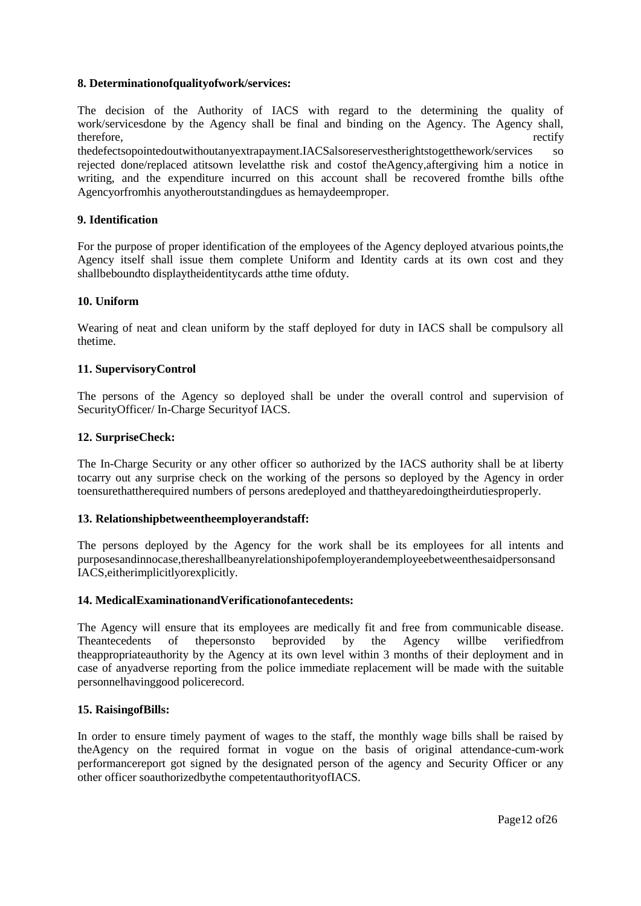#### **8. Determinationofqualityofwork/services:**

The decision of the Authority of IACS with regard to the determining the quality of work/servicesdone by the Agency shall be final and binding on the Agency. The Agency shall, therefore, rectify rectify

thedefectsopointedoutwithoutanyextrapayment.IACSalsoreservestherightstogetthework/services so rejected done/replaced atitsown levelatthe risk and costof theAgency,aftergiving him a notice in writing, and the expenditure incurred on this account shall be recovered fromthe bills ofthe Agencyorfromhis anyotheroutstandingdues as hemaydeemproper.

#### **9. Identification**

For the purpose of proper identification of the employees of the Agency deployed atvarious points,the Agency itself shall issue them complete Uniform and Identity cards at its own cost and they shallbeboundto displaytheidentitycards atthe time ofduty.

#### **10. Uniform**

Wearing of neat and clean uniform by the staff deployed for duty in IACS shall be compulsory all thetime.

#### **11. SupervisoryControl**

The persons of the Agency so deployed shall be under the overall control and supervision of SecurityOfficer/ In-Charge Securityof IACS.

#### **12. SurpriseCheck:**

The In-Charge Security or any other officer so authorized by the IACS authority shall be at liberty tocarry out any surprise check on the working of the persons so deployed by the Agency in order toensurethattherequired numbers of persons aredeployed and thattheyaredoingtheirdutiesproperly.

#### **13. Relationshipbetweentheemployerandstaff:**

The persons deployed by the Agency for the work shall be its employees for all intents and purposesandinnocase,thereshallbeanyrelationshipofemployerandemployeebetweenthesaidpersonsand IACS,eitherimplicitlyorexplicitly.

#### **14. MedicalExaminationandVerificationofantecedents:**

The Agency will ensure that its employees are medically fit and free from communicable disease. Theantecedents of thepersonsto beprovided by the Agency willbe verifiedfrom theappropriateauthority by the Agency at its own level within 3 months of their deployment and in case of anyadverse reporting from the police immediate replacement will be made with the suitable personnelhavinggood policerecord.

#### **15. RaisingofBills:**

In order to ensure timely payment of wages to the staff, the monthly wage bills shall be raised by theAgency on the required format in vogue on the basis of original attendance-cum-work performancereport got signed by the designated person of the agency and Security Officer or any other officer soauthorizedbythe competentauthorityofIACS.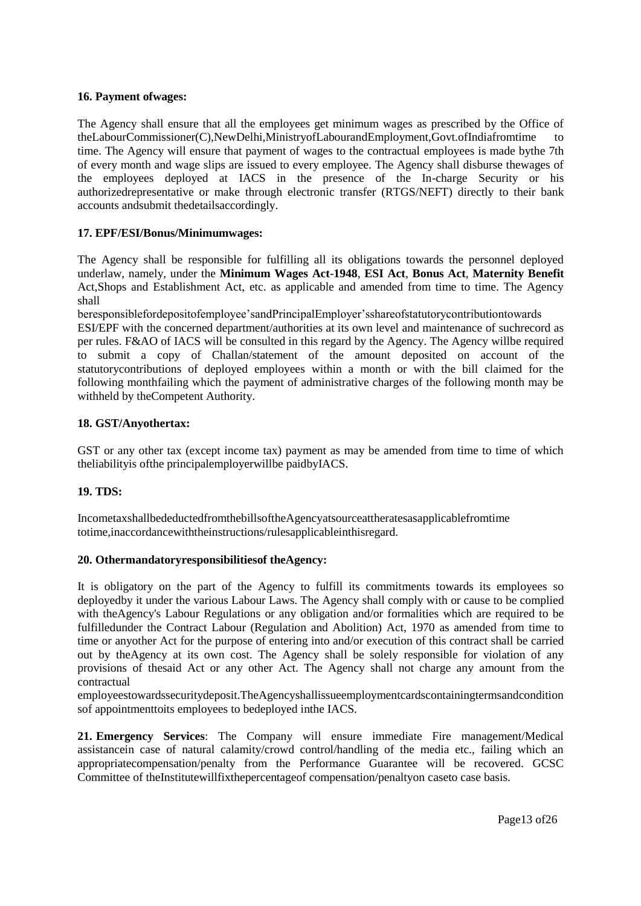#### **16. Payment ofwages:**

The Agency shall ensure that all the employees get minimum wages as prescribed by the Office of theLabourCommissioner(C),NewDelhi,MinistryofLabourandEmployment,Govt.ofIndiafromtime to time. The Agency will ensure that payment of wages to the contractual employees is made bythe 7th of every month and wage slips are issued to every employee. The Agency shall disburse thewages of the employees deployed at IACS in the presence of the In-charge Security or his authorizedrepresentative or make through electronic transfer (RTGS/NEFT) directly to their bank accounts andsubmit thedetailsaccordingly.

#### **17. EPF/ESI/Bonus/Minimumwages:**

The Agency shall be responsible for fulfilling all its obligations towards the personnel deployed underlaw, namely, under the **Minimum Wages Act-1948**, **ESI Act**, **Bonus Act**, **Maternity Benefit**  Act,Shops and Establishment Act, etc. as applicable and amended from time to time. The Agency shall

beresponsiblefordepositofemployee"sandPrincipalEmployer"sshareofstatutorycontributiontowards

ESI/EPF with the concerned department/authorities at its own level and maintenance of suchrecord as per rules. F&AO of IACS will be consulted in this regard by the Agency. The Agency willbe required to submit a copy of Challan/statement of the amount deposited on account of the statutorycontributions of deployed employees within a month or with the bill claimed for the following monthfailing which the payment of administrative charges of the following month may be withheld by theCompetent Authority.

#### **18. GST/Anyothertax:**

GST or any other tax (except income tax) payment as may be amended from time to time of which theliabilityis ofthe principalemployerwillbe paidbyIACS.

#### **19. TDS:**

IncometaxshallbedeductedfromthebillsoftheAgencyatsourceattheratesasapplicablefromtime totime,inaccordancewiththeinstructions/rulesapplicableinthisregard.

#### **20. Othermandatoryresponsibilitiesof theAgency:**

It is obligatory on the part of the Agency to fulfill its commitments towards its employees so deployedby it under the various Labour Laws. The Agency shall comply with or cause to be complied with theAgency's Labour Regulations or any obligation and/or formalities which are required to be fulfilledunder the Contract Labour (Regulation and Abolition) Act, 1970 as amended from time to time or anyother Act for the purpose of entering into and/or execution of this contract shall be carried out by theAgency at its own cost. The Agency shall be solely responsible for violation of any provisions of thesaid Act or any other Act. The Agency shall not charge any amount from the contractual

employeestowardssecuritydeposit.TheAgencyshallissueemploymentcardscontainingtermsandcondition sof appointmenttoits employees to bedeployed inthe IACS.

**21. Emergency Services**: The Company will ensure immediate Fire management/Medical assistancein case of natural calamity/crowd control/handling of the media etc., failing which an appropriatecompensation/penalty from the Performance Guarantee will be recovered. GCSC Committee of theInstitutewillfixthepercentageof compensation/penaltyon caseto case basis.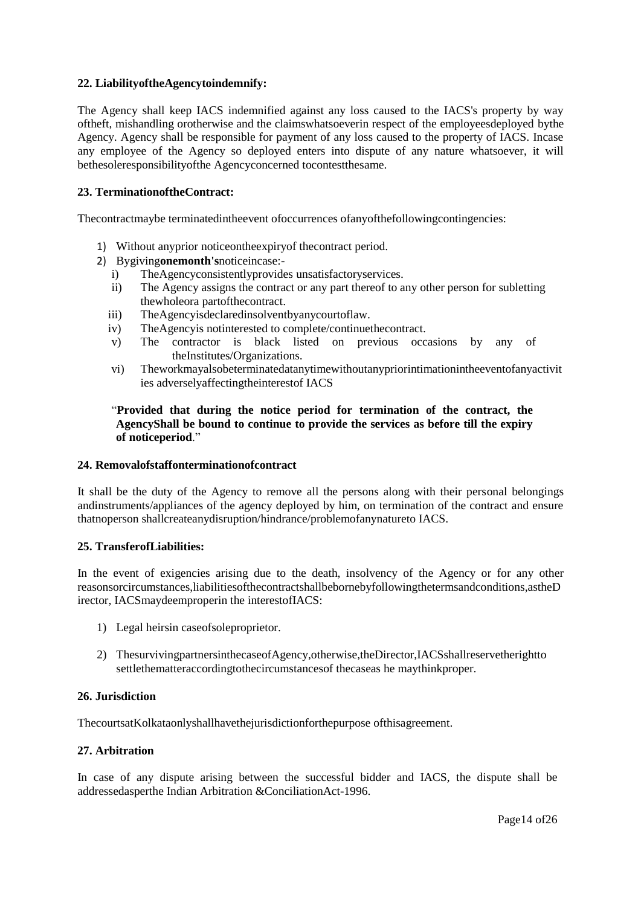#### **22. LiabilityoftheAgencytoindemnify:**

The Agency shall keep IACS indemnified against any loss caused to the IACS's property by way oftheft, mishandling orotherwise and the claimswhatsoeverin respect of the employeesdeployed bythe Agency. Agency shall be responsible for payment of any loss caused to the property of IACS. Incase any employee of the Agency so deployed enters into dispute of any nature whatsoever, it will bethesoleresponsibilityofthe Agencyconcerned tocontestthesame.

#### **23. TerminationoftheContract:**

Thecontractmaybe terminatedintheevent ofoccurrences ofanyofthefollowingcontingencies:

- 1) Without anyprior noticeontheexpiryof thecontract period.
- 2) Bygiving**onemonth's**noticeincase:
	- i) TheAgencyconsistentlyprovides unsatisfactoryservices.
	- ii) The Agency assigns the contract or any part thereof to any other person for subletting thewholeora partofthecontract.
	- iii) TheAgencyisdeclaredinsolventbyanycourtoflaw.
	- iv) TheAgencyis notinterested to complete/continuethecontract.
	- v) The contractor is black listed on previous occasions by any of theInstitutes/Organizations.
	- vi) Theworkmayalsobeterminatedatanytimewithoutanypriorintimationintheeventofanyactivit ies adverselyaffectingtheinterestof IACS

#### "**Provided that during the notice period for termination of the contract, the AgencyShall be bound to continue to provide the services as before till the expiry of noticeperiod**."

#### **24. Removalofstaffonterminationofcontract**

It shall be the duty of the Agency to remove all the persons along with their personal belongings andinstruments/appliances of the agency deployed by him, on termination of the contract and ensure thatnoperson shallcreateanydisruption/hindrance/problemofanynatureto IACS.

#### **25. TransferofLiabilities:**

In the event of exigencies arising due to the death, insolvency of the Agency or for any other reasonsorcircumstances,liabilitiesofthecontractshallbebornebyfollowingthetermsandconditions,astheD irector, IACSmaydeemproperin the interestofIACS:

- 1) Legal heirsin caseofsoleproprietor.
- 2) ThesurvivingpartnersinthecaseofAgency,otherwise,theDirector,IACSshallreservetherightto settlethematteraccordingtothecircumstancesof thecaseas he maythinkproper.

#### **26. Jurisdiction**

ThecourtsatKolkataonlyshallhavethejurisdictionforthepurpose ofthisagreement.

#### **27. Arbitration**

In case of any dispute arising between the successful bidder and IACS, the dispute shall be addressedasperthe Indian Arbitration &ConciliationAct-1996.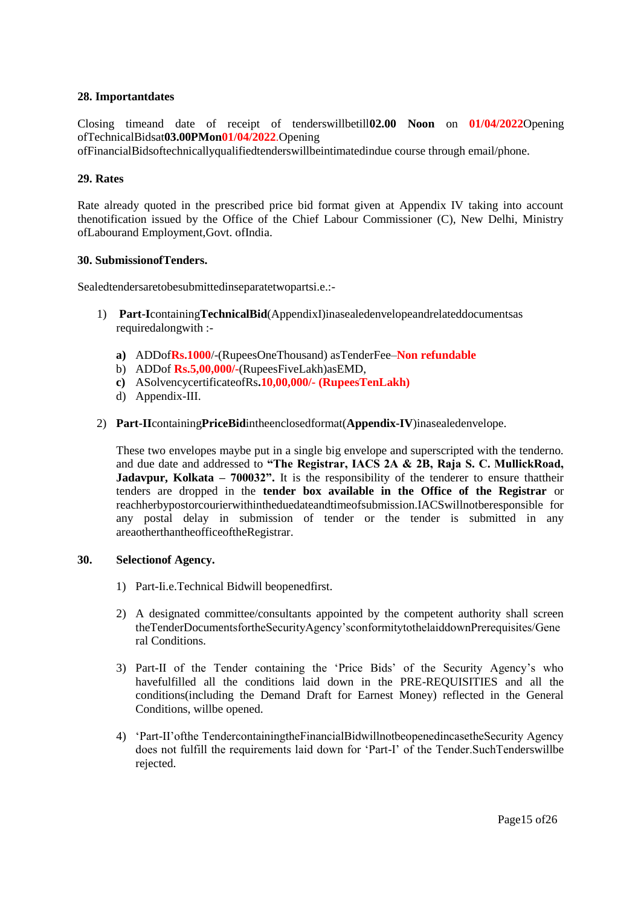#### **28. Importantdates**

Closing timeand date of receipt of tenderswillbetill**02.00 Noon** on **01/04/2022**Opening ofTechnicalBidsat**03.00PMon01/04/2022**.Opening

ofFinancialBidsoftechnicallyqualifiedtenderswillbeintimatedindue course through email/phone.

#### **29. Rates**

Rate already quoted in the prescribed price bid format given at Appendix IV taking into account thenotification issued by the Office of the Chief Labour Commissioner (C), New Delhi, Ministry ofLabourand Employment,Govt. ofIndia.

#### **30. SubmissionofTenders.**

Sealedtendersaretobesubmittedinseparatetwopartsi.e.:-

- 1) **Part-I**containing**TechnicalBid**(AppendixI)inasealedenvelopeandrelateddocumentsas requiredalongwith :
	- **a)** ADDof**Rs.1000**/-(RupeesOneThousand) asTenderFee–**Non refundable**
	- b) ADDof **Rs.5,00,000/-**(RupeesFiveLakh)asEMD,
	- **c)** ASolvencycertificateofRs**.10,00,000/- (RupeesTenLakh)**
	- d) Appendix-III.
- 2) **Part-II**containing**PriceBid**intheenclosedformat(**Appendix-IV**)inasealedenvelope.

These two envelopes maybe put in a single big envelope and superscripted with the tenderno. and due date and addressed to **"The Registrar, IACS 2A & 2B, Raja S. C. MullickRoad, Jadavpur, Kolkata – 700032".** It is the responsibility of the tenderer to ensure thattheir tenders are dropped in the **tender box available in the Office of the Registrar** or reachherbypostorcourierwithintheduedateandtimeofsubmission.IACSwillnotberesponsible for any postal delay in submission of tender or the tender is submitted in any areaotherthantheofficeoftheRegistrar.

#### **30. Selectionof Agency.**

- 1) Part-Ii.e.Technical Bidwill beopenedfirst.
- 2) A designated committee/consultants appointed by the competent authority shall screen theTenderDocumentsfortheSecurityAgency"sconformitytothelaiddownPrerequisites/Gene ral Conditions.
- 3) Part-II of the Tender containing the "Price Bids" of the Security Agency"s who havefulfilled all the conditions laid down in the PRE-REQUISITIES and all the conditions(including the Demand Draft for Earnest Money) reflected in the General Conditions, willbe opened.
- 4) "Part-II"ofthe TendercontainingtheFinancialBidwillnotbeopenedincasetheSecurity Agency does not fulfill the requirements laid down for "Part-I" of the Tender.SuchTenderswillbe rejected.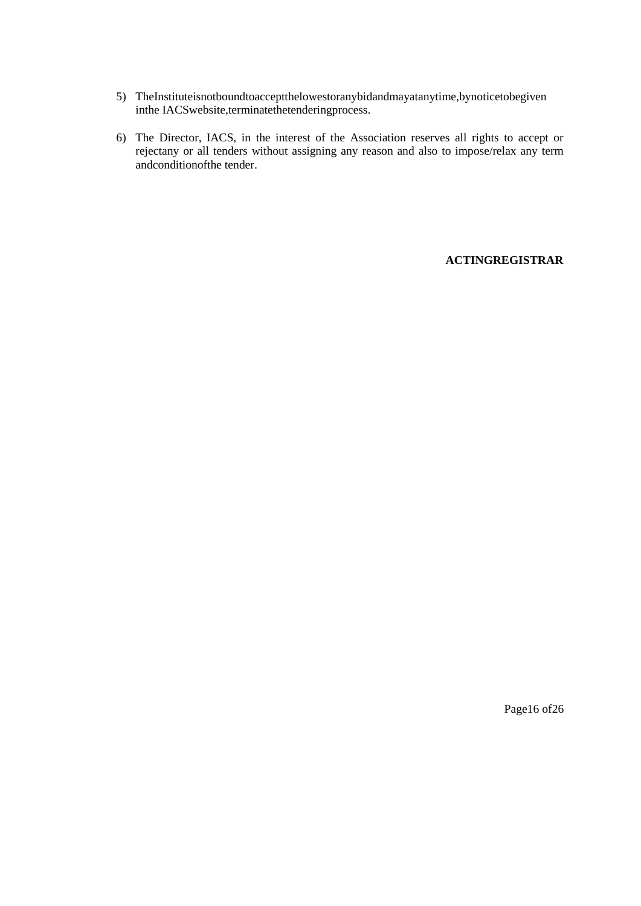- 5) TheInstituteisnotboundtoacceptthelowestoranybidandmayatanytime,bynoticetobegiven inthe IACSwebsite,terminatethetenderingprocess.
- 6) The Director, IACS, in the interest of the Association reserves all rights to accept or rejectany or all tenders without assigning any reason and also to impose/relax any term andconditionofthe tender.

#### **ACTINGREGISTRAR**

Page16 of26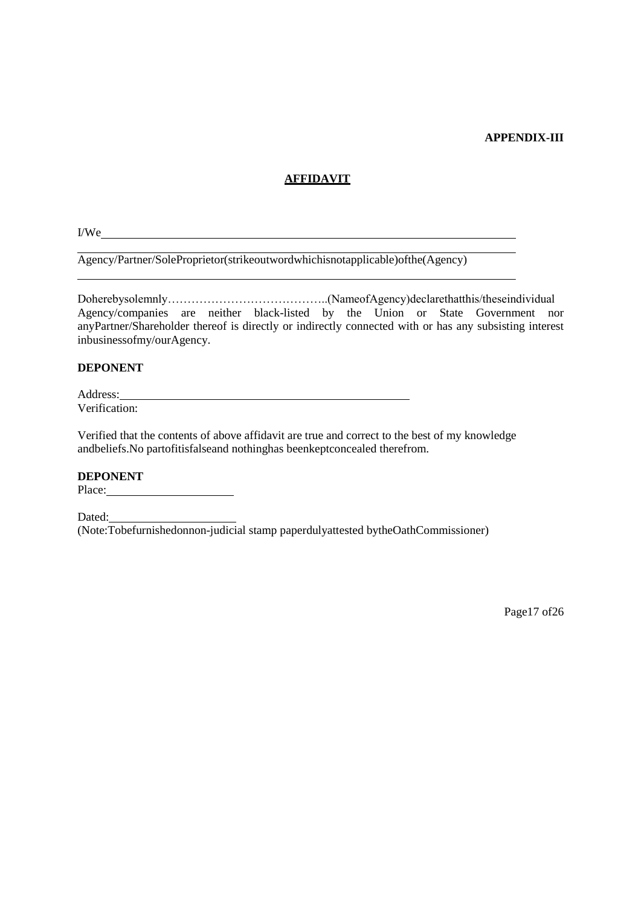#### **APPENDIX-III**

#### **AFFIDAVIT**

I/We

Agency/Partner/SoleProprietor(strikeoutwordwhichisnotapplicable)ofthe(Agency)

Agency/companies are neither black-listed by the Union or State Government nor anyPartner/Shareholder thereof is directly or indirectly connected with or has any subsisting interest inbusinessofmy/ourAgency.

#### **DEPONENT**

Address: Verification:

Verified that the contents of above affidavit are true and correct to the best of my knowledge andbeliefs. No partofitisfalseand nothinghas beenkeptconcealed therefrom.

#### **DEPONENT**

Place:

Dated: (Note:Tobefurnishedonnon-judicial stamp paperdulyattested bytheOathCommissioner)

Page17 of26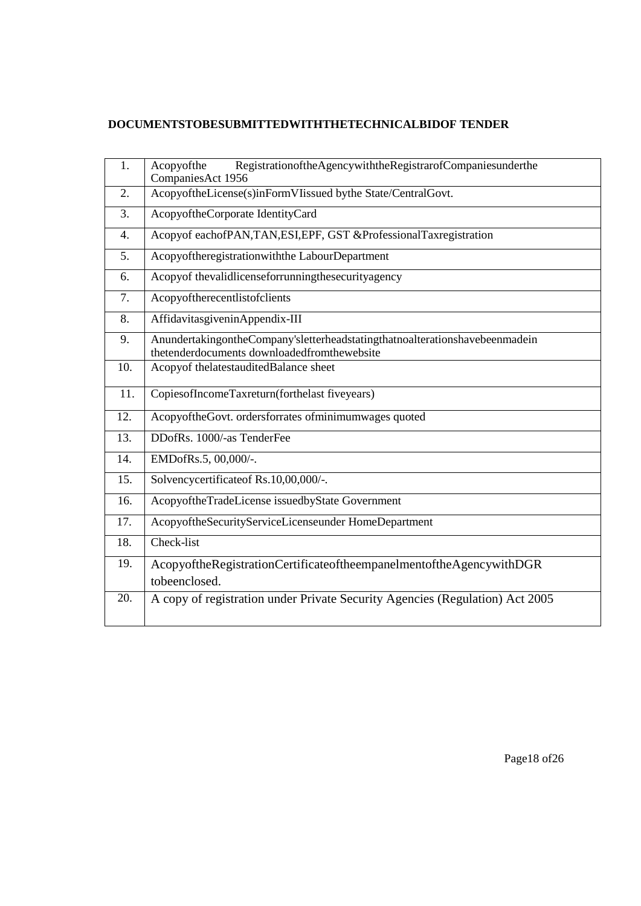## DOCUMENTSTOBESUBMITTEDWITHTHETECHNICALBIDOF TENDER

| 1.               | RegistrationoftheAgencywiththeRegistrarofCompaniesunderthe<br>Acopyofthe<br>CompaniesAct 1956                              |
|------------------|----------------------------------------------------------------------------------------------------------------------------|
| 2.               | AcopyoftheLicense(s)inFormVIissued bythe State/CentralGovt.                                                                |
| 3.               | AcopyoftheCorporate IdentityCard                                                                                           |
| $\overline{4}$ . | Acopyof eachofPAN,TAN,ESI,EPF, GST &ProfessionalTaxregistration                                                            |
| 5.               | Acopyoftheregistrationwith the LabourDepartment                                                                            |
| 6.               | Acopyof thevalidlicenseforrunningthesecurityagency                                                                         |
| 7.               | Acopyoftherecentlistofclients                                                                                              |
| 8.               | AffidavitasgiveninAppendix-III                                                                                             |
| 9.               | AnundertakingontheCompany'sletterheadstatingthatnoalterationshavebeenmadein<br>thetenderdocuments downloadedfromthewebsite |
| 10.              | Acopyof thelatestauditedBalance sheet                                                                                      |
| 11.              | CopiesofIncomeTaxreturn(forthelast fiveyears)                                                                              |
| 12.              | AcopyoftheGovt. ordersforrates ofminimumwages quoted                                                                       |
| 13.              | DDofRs. 1000/-as TenderFee                                                                                                 |
| 14.              | EMDofRs.5, 00,000/-.                                                                                                       |
| 15.              | Solvencycertificateof Rs.10,00,000/-.                                                                                      |
| 16.              | AcopyoftheTradeLicense issuedbyState Government                                                                            |
| 17.              | AcopyoftheSecurityServiceLicenseunder HomeDepartment                                                                       |
| 18.              | Check-list                                                                                                                 |
| 19.              | AcopyoftheRegistrationCertificateoftheempanelmentoftheAgencywithDGR<br>tobeenclosed.                                       |
| 20.              | A copy of registration under Private Security Agencies (Regulation) Act 2005                                               |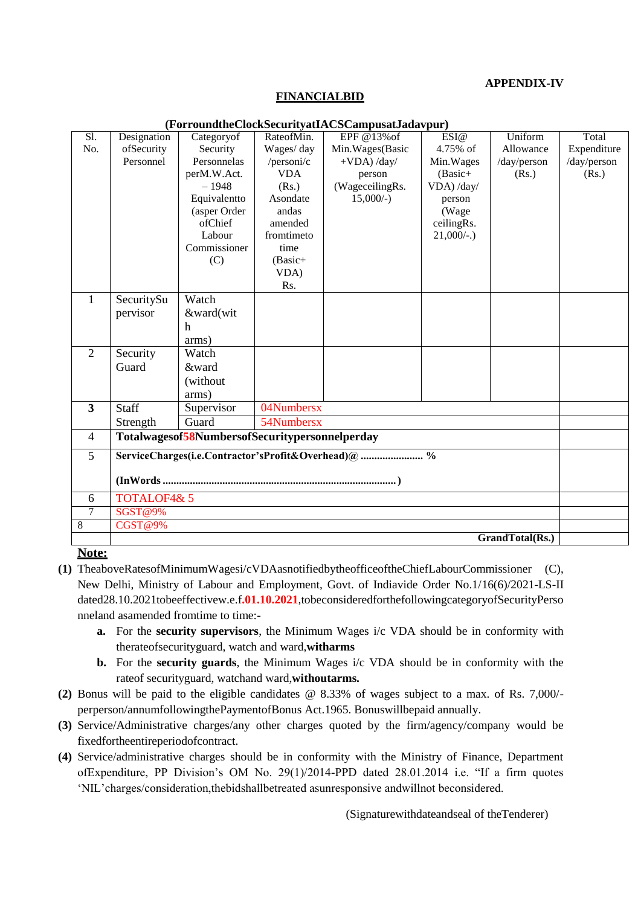#### **APPENDIX-IV**

#### **FINANCIALBID**

| $\overline{SI}$ . | Designation                                    | Categoryof   | RateofMin. | $\Gamma$ u Tumumc $\Gamma$ uckoccu Tyau $\Lambda$ Cocampusawaya yur $\mu$<br>EPF @13% of | ESI@          | Uniform     | Total       |
|-------------------|------------------------------------------------|--------------|------------|------------------------------------------------------------------------------------------|---------------|-------------|-------------|
| No.               | ofSecurity                                     | Security     | Wages/day  | Min. Wages (Basic                                                                        | 4.75% of      | Allowance   | Expenditure |
|                   | Personnel                                      | Personnelas  | /personi/c | $+VDA$ ) /day/                                                                           | Min. Wages    | /day/person | /day/person |
|                   |                                                | perM.W.Act.  | <b>VDA</b> | person                                                                                   | $(Basic +$    | (Rs.)       | (Rs.)       |
|                   |                                                | $-1948$      | (Rs.)      | (WageceilingRs.                                                                          | VDA) /day/    |             |             |
|                   |                                                | Equivalentto | Asondate   | $15,000/-$                                                                               | person        |             |             |
|                   |                                                | (asper Order | andas      |                                                                                          | (Wage         |             |             |
|                   |                                                | ofChief      | amended    |                                                                                          | ceilingRs.    |             |             |
|                   |                                                | Labour       | fromtimeto |                                                                                          | $21,000/$ -.) |             |             |
|                   |                                                | Commissioner | time       |                                                                                          |               |             |             |
|                   |                                                | (C)          | $(Basic+$  |                                                                                          |               |             |             |
|                   |                                                |              | VDA)       |                                                                                          |               |             |             |
|                   |                                                |              | Rs.        |                                                                                          |               |             |             |
| $\mathbf{1}$      | SecuritySu                                     | Watch        |            |                                                                                          |               |             |             |
|                   | pervisor                                       | &ward(wit    |            |                                                                                          |               |             |             |
|                   |                                                | h            |            |                                                                                          |               |             |             |
|                   |                                                | arms)        |            |                                                                                          |               |             |             |
| $\overline{2}$    | Security                                       | Watch        |            |                                                                                          |               |             |             |
|                   | Guard                                          | &ward        |            |                                                                                          |               |             |             |
|                   |                                                | (without     |            |                                                                                          |               |             |             |
|                   |                                                | arms)        |            |                                                                                          |               |             |             |
| 3                 | <b>Staff</b>                                   | Supervisor   | 04Numbersx |                                                                                          |               |             |             |
|                   | Strength                                       | Guard        | 54Numbersx |                                                                                          |               |             |             |
| $\overline{4}$    | Totalwagesof58NumbersofSecuritypersonnelperday |              |            |                                                                                          |               |             |             |
| 5                 |                                                |              |            | ServiceCharges(i.e.Contractor'sProfit&Overhead)@  %                                      |               |             |             |
|                   |                                                |              |            |                                                                                          |               |             |             |
|                   |                                                |              |            |                                                                                          |               |             |             |
| 6                 | <b>TOTALOF4&amp; 5</b>                         |              |            |                                                                                          |               |             |             |
| $\overline{7}$    | SGST@9%                                        |              |            |                                                                                          |               |             |             |
| $\overline{8}$    | <b>CGST@9%</b>                                 |              |            |                                                                                          |               |             |             |
|                   | GrandTotal(Rs.)                                |              |            |                                                                                          |               |             |             |

#### (ForroundtheClockSecurityatIACSCampusatIadavnur)

#### Note:

- (1) TheaboveRatesofMinimumWagesi/cVDAasnotifiedbytheofficeoftheChiefLabourCommissioner (C), New Delhi, Ministry of Labour and Employment, Govt. of Indiavide Order No.1/16(6)/2021-LS-II dated28.10.2021tobeeffectivew.e.f.01.10.2021,tobeconsideredforthefollowingcategoryofSecurityPerso nneland asamended from time to time:
	- **a.** For the **security supervisors**, the Minimum Wages  $i/c$  VDA should be in conformity with therateofsecurityguard, watch and ward, witharms
	- **b.** For the security guards, the Minimum Wages i/c VDA should be in conformity with the rate of security guard, watchand ward, withoutarms.
- (2) Bonus will be paid to the eligible candidates  $\omega$  8.33% of wages subject to a max. of Rs. 7,000/perperson/annumfollowingthePaymentofBonus Act.1965. Bonuswillbepaid annually.
- (3) Service/Administrative charges/any other charges quoted by the firm/agency/company would be fixedfortheentireperiodofcontract.
- (4) Service/administrative charges should be in conformity with the Ministry of Finance, Department ofExpenditure, PP Division's OM No. 29(1)/2014-PPD dated 28.01.2014 i.e. "If a firm quotes 'NIL' charges/consideration, the bidshall betreated as unresponsive and will not be considered.

(Signature with date and seal of the Tenderer)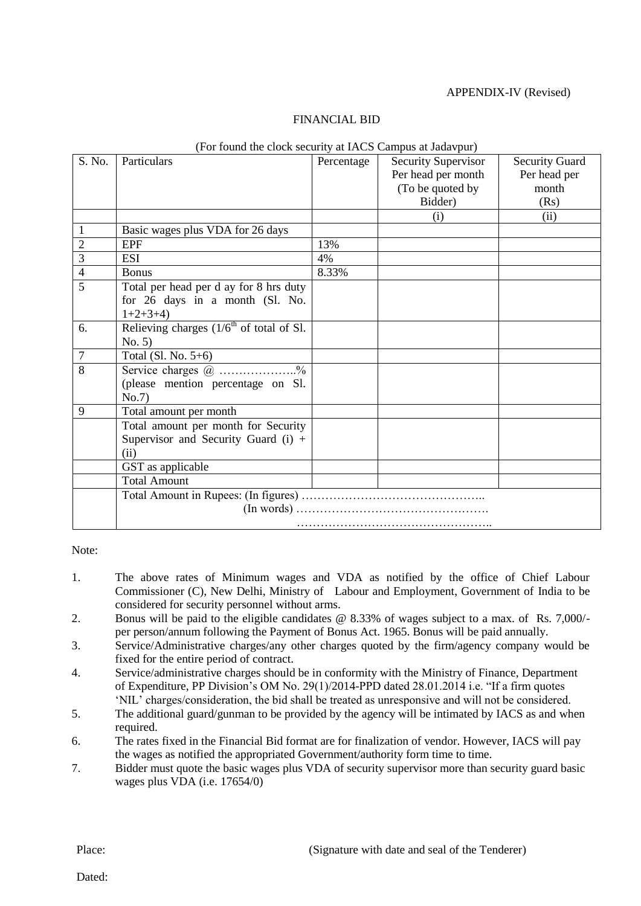#### APPENDIX-IV (Revised)

#### FINANCIAL BID

|                | (For found the clock security at IACS Campus at Jadavpur) |            |                            |                       |  |  |
|----------------|-----------------------------------------------------------|------------|----------------------------|-----------------------|--|--|
| S. No.         | Particulars                                               | Percentage | <b>Security Supervisor</b> | <b>Security Guard</b> |  |  |
|                |                                                           |            | Per head per month         | Per head per          |  |  |
|                |                                                           |            | (To be quoted by           | month                 |  |  |
|                |                                                           |            | Bidder)                    | (Rs)                  |  |  |
|                |                                                           |            | (i)                        | (ii)                  |  |  |
| 1              | Basic wages plus VDA for 26 days                          |            |                            |                       |  |  |
| $\sqrt{2}$     | <b>EPF</b>                                                | 13%        |                            |                       |  |  |
| $\overline{3}$ | <b>ESI</b>                                                | 4%         |                            |                       |  |  |
| $\overline{4}$ | <b>Bonus</b>                                              | 8.33%      |                            |                       |  |  |
| 5              | Total per head per d ay for 8 hrs duty                    |            |                            |                       |  |  |
|                | for 26 days in a month (Sl. No.                           |            |                            |                       |  |  |
|                | $1+2+3+4$                                                 |            |                            |                       |  |  |
| 6.             | Relieving charges $(1/6th$ of total of Sl.                |            |                            |                       |  |  |
|                | No. 5)                                                    |            |                            |                       |  |  |
| $\overline{7}$ | Total (Sl. No. $5+6$ )                                    |            |                            |                       |  |  |
| 8              | Service charges @ %                                       |            |                            |                       |  |  |
|                | (please mention percentage on Sl.                         |            |                            |                       |  |  |
|                | No.7                                                      |            |                            |                       |  |  |
| 9              | Total amount per month                                    |            |                            |                       |  |  |
|                | Total amount per month for Security                       |            |                            |                       |  |  |
|                | Supervisor and Security Guard $(i)$ +                     |            |                            |                       |  |  |
|                | (ii)                                                      |            |                            |                       |  |  |
|                | GST as applicable                                         |            |                            |                       |  |  |
|                | <b>Total Amount</b>                                       |            |                            |                       |  |  |
|                |                                                           |            |                            |                       |  |  |
|                |                                                           |            |                            |                       |  |  |
|                |                                                           |            |                            |                       |  |  |

#### (For found the clock security at IACS Campus at Jadavpur)

Note:

- 1. The above rates of Minimum wages and VDA as notified by the office of Chief Labour Commissioner (C), New Delhi, Ministry of Labour and Employment, Government of India to be considered for security personnel without arms.
- 2. Bonus will be paid to the eligible candidates @ 8.33% of wages subject to a max. of Rs. 7,000/ per person/annum following the Payment of Bonus Act. 1965. Bonus will be paid annually.
- 3. Service/Administrative charges/any other charges quoted by the firm/agency company would be fixed for the entire period of contract.
- 4. Service/administrative charges should be in conformity with the Ministry of Finance, Department of Expenditure, PP Division"s OM No. 29(1)/2014-PPD dated 28.01.2014 i.e. "If a firm quotes "NIL" charges/consideration, the bid shall be treated as unresponsive and will not be considered.
- 5. The additional guard/gunman to be provided by the agency will be intimated by IACS as and when required.
- 6. The rates fixed in the Financial Bid format are for finalization of vendor. However, IACS will pay the wages as notified the appropriated Government/authority form time to time.
- 7. Bidder must quote the basic wages plus VDA of security supervisor more than security guard basic wages plus VDA (i.e. 17654/0)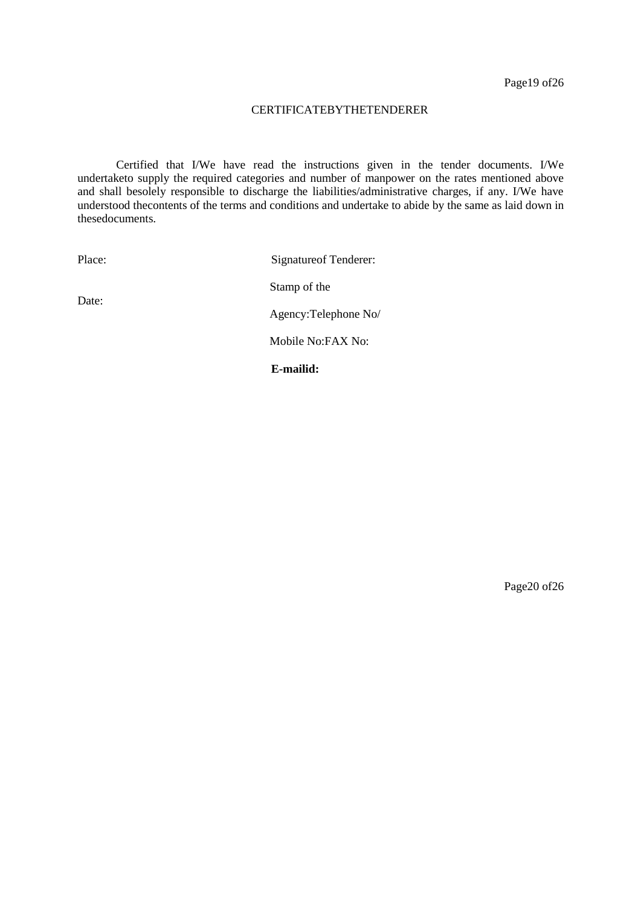#### CERTIFICATEBYTHETENDERER

Certified that I/We have read the instructions given in the tender documents. I/We undertaketo supply the required categories and number of manpower on the rates mentioned above and shall besolely responsible to discharge the liabilities/administrative charges, if any. I/We have understood thecontents of the terms and conditions and undertake to abide by the same as laid down in thesedocuments.

Place: Signatureof Tenderer: Stamp of the Agency:Telephone No/ Mobile No:FAX No:

Date:

Page20 of26

**E-mailid:**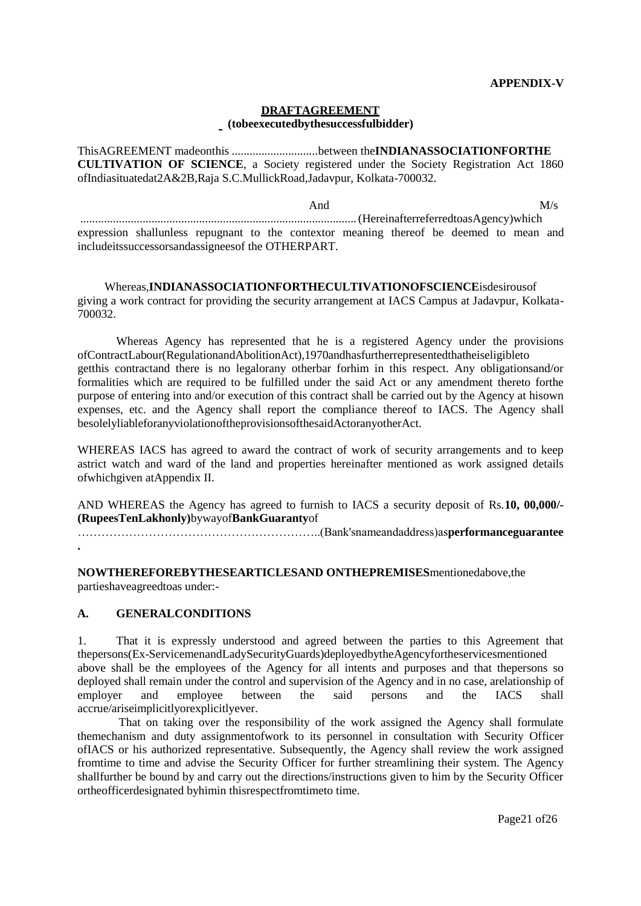#### **DRAFTAGREEMENT** (tobeexecutedbythesuccessfulbidder)

ThisAGREEMENT madeonthis ................................between theINDIANASSOCIATIONFORTHE CULTIVATION OF SCIENCE, a Society registered under the Society Registration Act 1860 ofIndiasituatedat2A&2B,Raja S.C.MullickRoad,Jadavpur, Kolkata-700032.

 $M/s$ And expression shallunless repugnant to the contextor meaning thereof be deemed to mean and includeits successors and assignees of the OTHERPART.

Whereas.INDIANASSOCIATIONFORTHECULTIVATIONOFSCIENCEisdesirousof giving a work contract for providing the security arrangement at IACS Campus at Jadavpur, Kolkata-700032

Whereas Agency has represented that he is a registered Agency under the provisions ofContractLabour(RegulationandAbolitionAct),1970andhasfurtherrepresentedthatheiseligibleto getthis contractand there is no legalorany otherbar forhim in this respect. Any obligations and/or formalities which are required to be fulfilled under the said Act or any amendment thereto forthe purpose of entering into and/or execution of this contract shall be carried out by the Agency at hisown expenses, etc. and the Agency shall report the compliance thereof to IACS. The Agency shall besolelyliableforanyviolationoftheprovisionsofthesaidActoranyotherAct.

WHEREAS IACS has agreed to award the contract of work of security arrangements and to keep astrict watch and ward of the land and properties hereinafter mentioned as work assigned details of which given at Appendix II.

AND WHEREAS the Agency has agreed to furnish to IACS a security deposit of Rs.10, 00,000/-(RupeesTenLakhonly)bywayofBankGuarantyof

NOWTHEREFOREBYTHESEARTICLESAND ONTHEPREMISES mentionedabove, the partieshaveagreedtoas under:-

#### $\mathbf{A}$ . **GENERALCONDITIONS**

 $1.$ That it is expressly understood and agreed between the parties to this Agreement that thepersons(Ex-ServicemenandLadySecurityGuards)deployedbytheAgencyfortheservicesmentioned above shall be the employees of the Agency for all intents and purposes and that the persons so deployed shall remain under the control and supervision of the Agency and in no case, arelationship of employer employee between the said persons and the **IACS** shall and accrue/ariseimplicitlyorexplicitlyever.

That on taking over the responsibility of the work assigned the Agency shall formulate themechanism and duty assignment of work to its personnel in consultation with Security Officer ofIACS or his authorized representative. Subsequently, the Agency shall review the work assigned from time to time and advise the Security Officer for further streamlining their system. The Agency shallfurther be bound by and carry out the directions/instructions given to him by the Security Officer ortheofficerdesignated byhimin this respect from time time.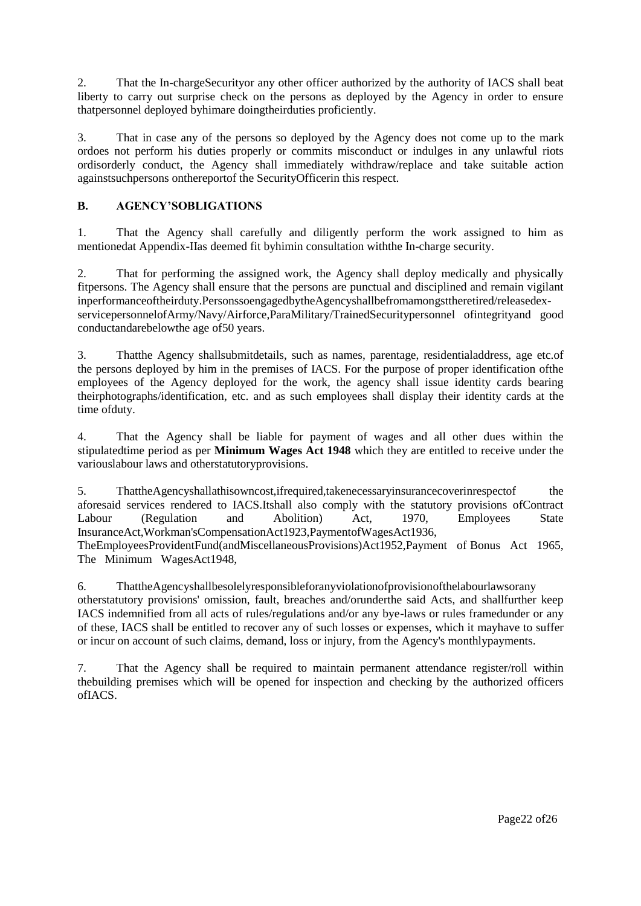2. That the In-chargeSecurityor any other officer authorized by the authority of IACS shall beat liberty to carry out surprise check on the persons as deployed by the Agency in order to ensure thatpersonnel deployed byhimare doingtheirduties proficiently.

3. That in case any of the persons so deployed by the Agency does not come up to the mark ordoes not perform his duties properly or commits misconduct or indulges in any unlawful riots ordisorderly conduct, the Agency shall immediately withdraw/replace and take suitable action againstsuchpersons onthereportof the SecurityOfficerin this respect.

#### **B. AGENCY'SOBLIGATIONS**

1. That the Agency shall carefully and diligently perform the work assigned to him as mentionedat Appendix-IIas deemed fit byhimin consultation withthe In-charge security.

2. That for performing the assigned work, the Agency shall deploy medically and physically fitpersons. The Agency shall ensure that the persons are punctual and disciplined and remain vigilant inperformanceoftheirduty.PersonssoengagedbytheAgencyshallbefromamongsttheretired/releasedexservicepersonnelofArmy/Navy/Airforce,ParaMilitary/TrainedSecuritypersonnel ofintegrityand good conductandarebelowthe age of50 years.

3. Thatthe Agency shallsubmitdetails, such as names, parentage, residentialaddress, age etc.of the persons deployed by him in the premises of IACS. For the purpose of proper identification ofthe employees of the Agency deployed for the work, the agency shall issue identity cards bearing theirphotographs/identification, etc. and as such employees shall display their identity cards at the time ofduty.

4. That the Agency shall be liable for payment of wages and all other dues within the stipulatedtime period as per **Minimum Wages Act 1948** which they are entitled to receive under the variouslabour laws and otherstatutoryprovisions.

5. ThattheAgencyshallathisowncost,ifrequired,takenecessaryinsurancecoverinrespectof the aforesaid services rendered to IACS.Itshall also comply with the statutory provisions ofContract<br>Labour (Regulation and Abolition) Act, 1970, Employees State Labour (Regulation and Abolition) Act, 1970, Employees State InsuranceAct,Workman'sCompensationAct1923,PaymentofWagesAct1936, TheEmployeesProvidentFund(andMiscellaneousProvisions)Act1952,Payment of Bonus Act 1965, The Minimum WagesAct1948,

6. ThattheAgencyshallbesolelyresponsibleforanyviolationofprovisionofthelabourlawsorany otherstatutory provisions' omission, fault, breaches and/orunderthe said Acts, and shallfurther keep IACS indemnified from all acts of rules/regulations and/or any bye-laws or rules framedunder or any of these, IACS shall be entitled to recover any of such losses or expenses, which it mayhave to suffer or incur on account of such claims, demand, loss or injury, from the Agency's monthlypayments.

7. That the Agency shall be required to maintain permanent attendance register/roll within thebuilding premises which will be opened for inspection and checking by the authorized officers ofIACS.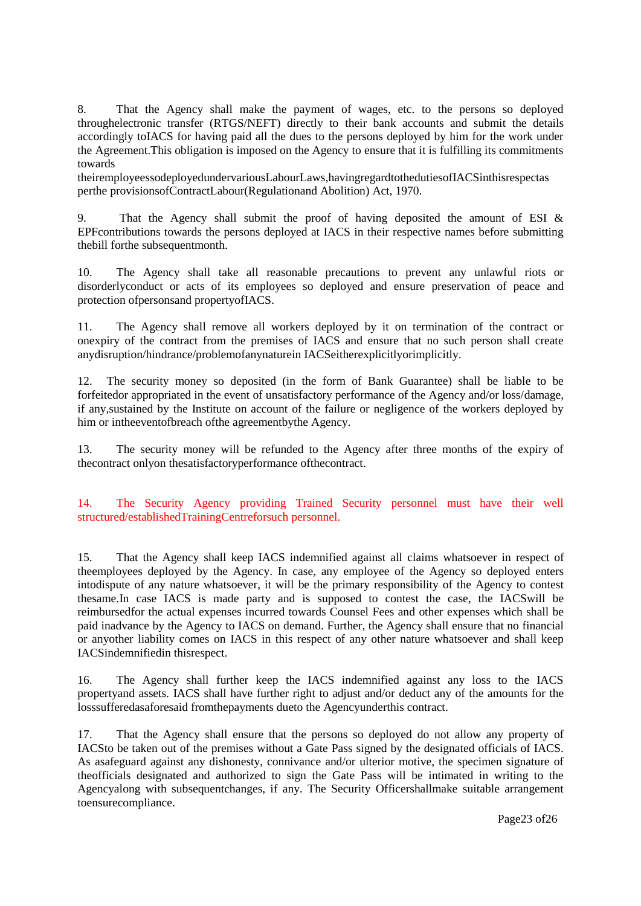8. That the Agency shall make the payment of wages, etc. to the persons so deployed throughelectronic transfer (RTGS/NEFT) directly to their bank accounts and submit the details accordingly toIACS for having paid all the dues to the persons deployed by him for the work under the Agreement.This obligation is imposed on the Agency to ensure that it is fulfilling its commitments towards

theiremployeessodeployedundervariousLabourLaws,havingregardtothedutiesofIACSinthisrespectas perthe provisionsofContractLabour(Regulationand Abolition) Act, 1970.

9. That the Agency shall submit the proof of having deposited the amount of ESI & EPFcontributions towards the persons deployed at IACS in their respective names before submitting thebill forthe subsequentmonth.

10. The Agency shall take all reasonable precautions to prevent any unlawful riots or disorderlyconduct or acts of its employees so deployed and ensure preservation of peace and protection ofpersonsand propertyofIACS.

11. The Agency shall remove all workers deployed by it on termination of the contract or onexpiry of the contract from the premises of IACS and ensure that no such person shall create anydisruption/hindrance/problemofanynaturein IACSeitherexplicitlyorimplicitly.

12. The security money so deposited (in the form of Bank Guarantee) shall be liable to be forfeitedor appropriated in the event of unsatisfactory performance of the Agency and/or loss/damage, if any,sustained by the Institute on account of the failure or negligence of the workers deployed by him or intheeventofbreach ofthe agreementbythe Agency.

13. The security money will be refunded to the Agency after three months of the expiry of thecontract onlyon thesatisfactoryperformance ofthecontract.

14. The Security Agency providing Trained Security personnel must have their well structured/establishedTrainingCentreforsuch personnel.

15. That the Agency shall keep IACS indemnified against all claims whatsoever in respect of theemployees deployed by the Agency. In case, any employee of the Agency so deployed enters intodispute of any nature whatsoever, it will be the primary responsibility of the Agency to contest thesame.In case IACS is made party and is supposed to contest the case, the IACSwill be reimbursedfor the actual expenses incurred towards Counsel Fees and other expenses which shall be paid inadvance by the Agency to IACS on demand. Further, the Agency shall ensure that no financial or anyother liability comes on IACS in this respect of any other nature whatsoever and shall keep IACSindemnifiedin thisrespect.

16. The Agency shall further keep the IACS indemnified against any loss to the IACS propertyand assets. IACS shall have further right to adjust and/or deduct any of the amounts for the losssufferedasaforesaid fromthepayments dueto the Agencyunderthis contract.

17. That the Agency shall ensure that the persons so deployed do not allow any property of IACSto be taken out of the premises without a Gate Pass signed by the designated officials of IACS. As asafeguard against any dishonesty, connivance and/or ulterior motive, the specimen signature of theofficials designated and authorized to sign the Gate Pass will be intimated in writing to the Agencyalong with subsequentchanges, if any. The Security Officershallmake suitable arrangement toensurecompliance.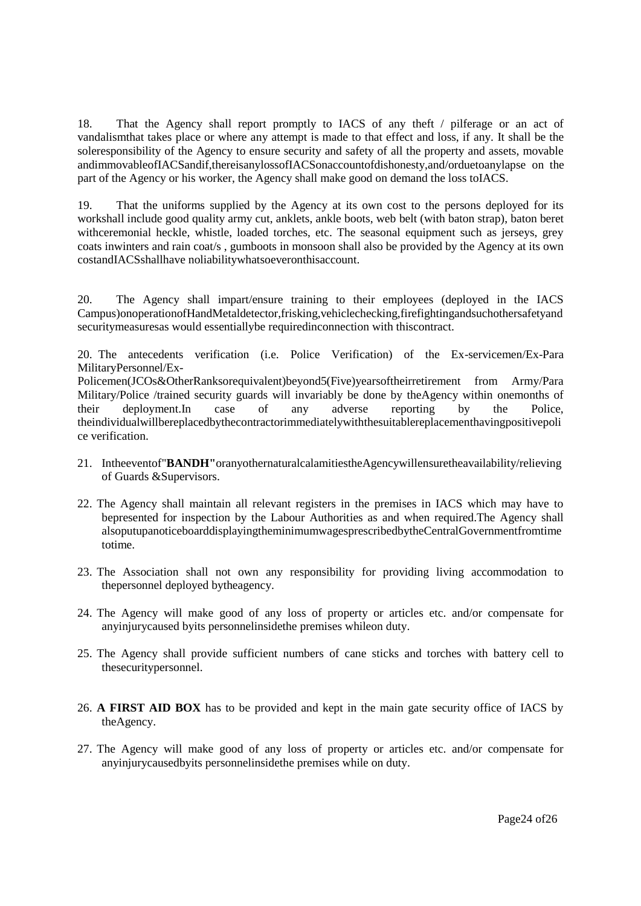18. That the Agency shall report promptly to IACS of any theft / pilferage or an act of vandalismthat takes place or where any attempt is made to that effect and loss, if any. It shall be the soleresponsibility of the Agency to ensure security and safety of all the property and assets, movable andimmovableofIACSandif,thereisanylossofIACSonaccountofdishonesty,and/orduetoanylapse on the part of the Agency or his worker, the Agency shall make good on demand the loss toIACS.

19. That the uniforms supplied by the Agency at its own cost to the persons deployed for its workshall include good quality army cut, anklets, ankle boots, web belt (with baton strap), baton beret withceremonial heckle, whistle, loaded torches, etc. The seasonal equipment such as jerseys, grey coats inwinters and rain coat/s , gumboots in monsoon shall also be provided by the Agency at its own costandIACSshallhave noliabilitywhatsoeveronthisaccount.

20. The Agency shall impart/ensure training to their employees (deployed in the IACS Campus)onoperationofHandMetaldetector,frisking,vehiclechecking,firefightingandsuchothersafetyand securitymeasuresas would essentiallybe requiredinconnection with thiscontract.

20. The antecedents verification (i.e. Police Verification) of the Ex-servicemen/Ex-Para MilitaryPersonnel/Ex-

Policemen(JCOs&OtherRanksorequivalent)beyond5(Five)yearsoftheirretirement from Army/Para Military/Police /trained security guards will invariably be done by theAgency within onemonths of their deployment.In case of any adverse reporting by the Police, their deployment.In case of any adverse reporting by the Police, theindividualwillbereplacedbythecontractorimmediatelywiththesuitablereplacementhavingpositivepoli ce verification.

- 21. Intheeventof"**BANDH"**oranyothernaturalcalamitiestheAgencywillensuretheavailability/relieving of Guards &Supervisors.
- 22. The Agency shall maintain all relevant registers in the premises in IACS which may have to bepresented for inspection by the Labour Authorities as and when required.The Agency shall alsoputupanoticeboarddisplayingtheminimumwagesprescribedbytheCentralGovernmentfromtime totime.
- 23. The Association shall not own any responsibility for providing living accommodation to thepersonnel deployed bytheagency.
- 24. The Agency will make good of any loss of property or articles etc. and/or compensate for anyinjurycaused byits personnelinsidethe premises whileon duty.
- 25. The Agency shall provide sufficient numbers of cane sticks and torches with battery cell to thesecuritypersonnel.
- 26. **A FIRST AID BOX** has to be provided and kept in the main gate security office of IACS by theAgency.
- 27. The Agency will make good of any loss of property or articles etc. and/or compensate for anyinjurycausedbyits personnelinsidethe premises while on duty.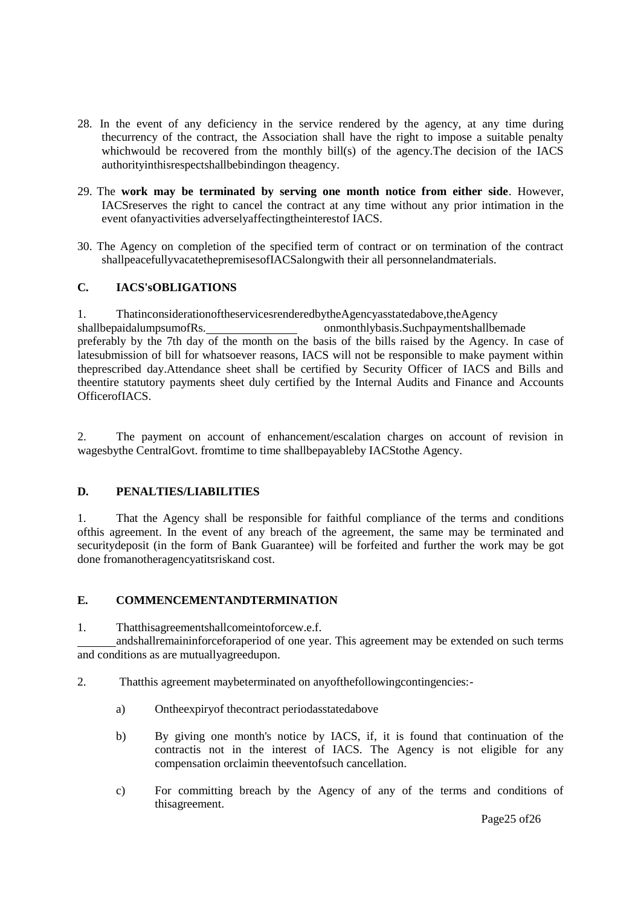- 28. In the event of any deficiency in the service rendered by the agency, at any time during thecurrency of the contract, the Association shall have the right to impose a suitable penalty whichwould be recovered from the monthly bill(s) of the agency. The decision of the IACS authorityinthisrespectshallbebindingon theagency.
- 29. The **work may be terminated by serving one month notice from either side**. However, IACSreserves the right to cancel the contract at any time without any prior intimation in the event ofanyactivities adverselyaffectingtheinterestof IACS.
- 30. The Agency on completion of the specified term of contract or on termination of the contract shallpeacefullyvacatethepremisesofIACSalongwith their all personnelandmaterials.

#### **C. IACS'sOBLIGATIONS**

1. ThatinconsiderationoftheservicesrenderedbytheAgencyasstatedabove,theAgency shallbepaidalumpsumofRs. online onmonthlybasis.Suchpaymentshallbemade preferably by the 7th day of the month on the basis of the bills raised by the Agency. In case of latesubmission of bill for whatsoever reasons, IACS will not be responsible to make payment within theprescribed day.Attendance sheet shall be certified by Security Officer of IACS and Bills and theentire statutory payments sheet duly certified by the Internal Audits and Finance and Accounts OfficerofIACS.

2. The payment on account of enhancement/escalation charges on account of revision in wagesbythe CentralGovt. fromtime to time shallbepayableby IACStothe Agency.

#### **D. PENALTIES/LIABILITIES**

1. That the Agency shall be responsible for faithful compliance of the terms and conditions ofthis agreement. In the event of any breach of the agreement, the same may be terminated and securitydeposit (in the form of Bank Guarantee) will be forfeited and further the work may be got done fromanotheragencyatitsriskand cost.

#### **E. COMMENCEMENTANDTERMINATION**

1. Thatthisagreementshallcomeintoforcew.e.f.

andshallremaininforceforaperiod of one year. This agreement may be extended on such terms and conditions as are mutuallyagreedupon.

- 2. Thatthis agreement maybeterminated on anyofthefollowingcontingencies:
	- a) Ontheexpiryof thecontract periodasstatedabove
	- b) By giving one month's notice by IACS, if, it is found that continuation of the contractis not in the interest of IACS. The Agency is not eligible for any compensation orclaimin theeventofsuch cancellation.
	- c) For committing breach by the Agency of any of the terms and conditions of thisagreement.